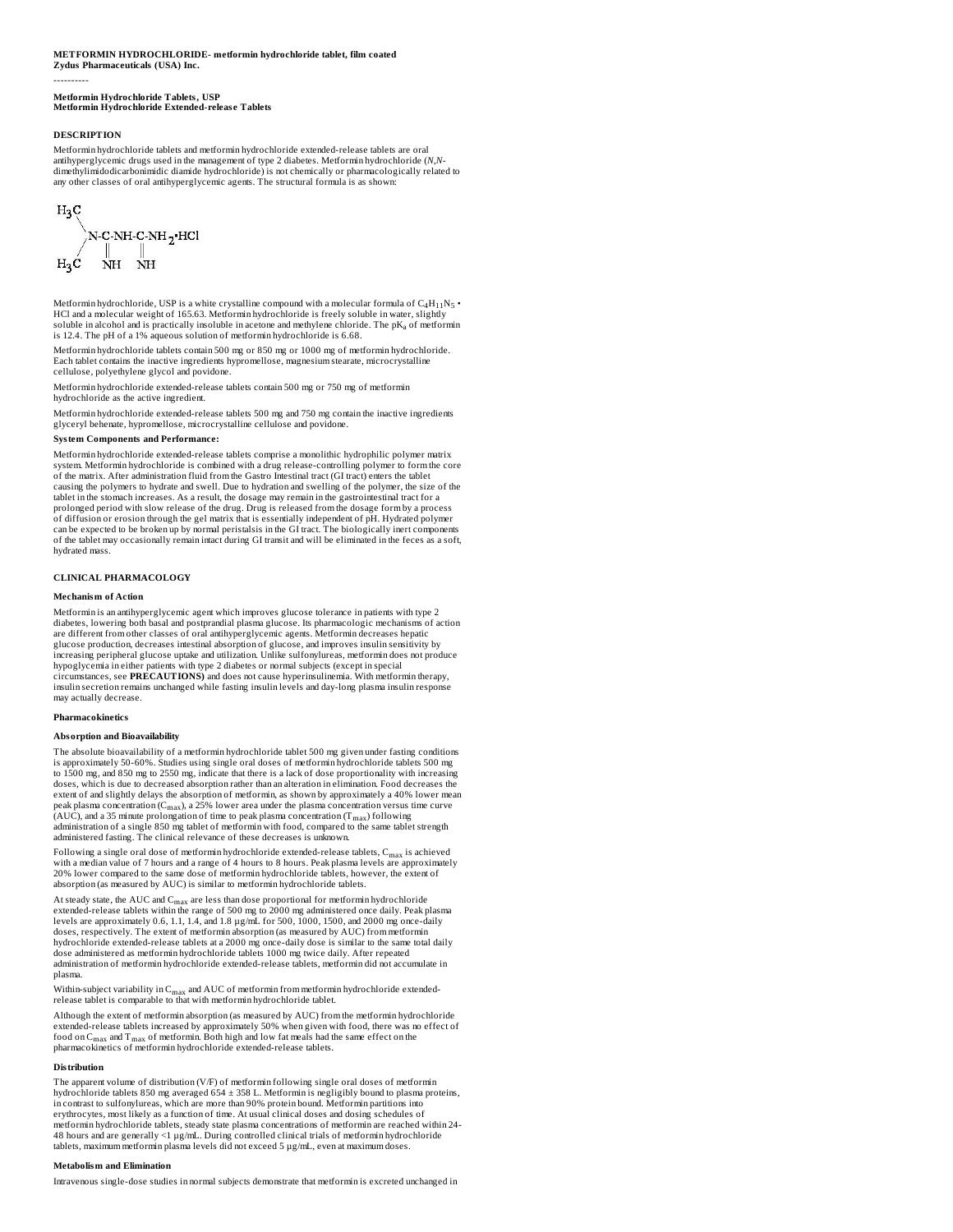# **METFORMIN HYDROCHLORIDE- metformin hydrochloride tablet, film coated Zydus Pharmaceuticals (USA) Inc.**

## **Metformin Hydrochloride Tablets, USP Metformin Hydrochloride Extended-releas e Tablets**

## **DESCRIPTION**

----------

Metformin hydrochloride tablets and metformin hydrochloride extended-release tablets are oral antihyperglycemic drugs used in the management of type 2 diabetes. Metformin hydrochloride (*N,N*dimethylimidodicarbonimidic diamide hydrochloride) is not chemically or pharmacologically related to any other classes of oral antihyperglycemic agents. The structural formula is as shown:

$$
\begin{matrix} H_3C \\ \text{N-C-NH-C-NH }_2\text{-HCl} \\ H_3C \\ \text{NH} \\ \text{NH} \\ \end{matrix}
$$

Metformin hydrochloride, USP is a white crystalline compound with a molecular formula of  $\rm C_4H_{11}N_5$  • HCl and a molecular weight of 165.63. Metformin hydrochloride is freely soluble in water, slightly<br>soluble in alcohol and is practically insoluble in acetone and methylene chloride. The pK<sub>a</sub> of metformin is 12.4. The pH of a 1% aqueous solution of metformin hydrochloride is 6.68.

Metformin hydrochloride tablets contain 500 mg or 850 mg or 1000 mg of metformin hydrochloride. Each tablet contains the inactive ingredients hypromellose, magnesium stearate, microcrystalline cellulose, polyethylene glycol and povidone.

Metformin hydrochloride extended-release tablets contain 500 mg or 750 mg of metformin hydrochloride as the active ingredient.

Metformin hydrochloride extended-release tablets 500 mg and 750 mg contain the inactive ingredients glyceryl behenate, hypromellose, microcrystalline cellulose and povidone.

## **System Components and Performance:**

Metformin hydrochloride extended-release tablets comprise a monolithic hydrophilic polymer matrix system. Metformin hydrochloride is combined with a drug release-controlling polymer to form the core of the matrix. After administration fluid from the Gastro Intestinal tract (GI tract) enters the tablet causing the polymers to hydrate and swell. Due to hydration and swelling of the polymer, the size of the tablet in the stomach increases. As a result, the dosage may remain in the gastrointestinal tract for a prolonged period with slow release of the drug. Drug is released from the dosage form by a process of diffusion or erosion through the gel matrix that is essentially independent of pH. Hydrated polymer can be expected to be broken up by normal peristalsis in the GI tract. The biologically inert components of the tablet may occasionally remain intact during GI transit and will be eliminated in the feces as a soft, hydrated mass.

#### **CLINICAL PHARMACOLOGY**

#### **Mechanism of Action**

Metformin is an antihyperglycemic agent which improves glucose tolerance in patients with type 2 diabetes, lowering both basal and postprandial plasma glucose. Its pharmacologic mechanisms of action<br>are different from other classes of oral antihyperglycemic agents. Metformin decreases hepatic<br>glucose production, decre increasing peripheral glucose uptake and utilization. Unlike sulfonylureas, metformin does not produce hypoglycemia in either patients with type 2 diabetes or normal subjects (except in special circumstances, see **PRECAUTIONS)** and does not cause hyperinsulinemia. With metformin therapy, insulin secretion remains unchanged while fasting insulin levels and day-long plasma insulin response may actually decrease.

#### **Pharmacokinetics**

#### **Absorption and Bioavailability**

The absolute bioavailability of a metformin hydrochloride tablet 500 mg given under fasting conditions is approximately 50-60%. Studies using single oral doses of metformin hydrochloride tablets 500 mg to 1500 mg, and 850 mg to 2550 mg, indicate that there is a lack of dose proportionality with increasing doses, which is due to decreased absorption rather than an alteration in elimination. Food decreases the extent of and slightly delays the absorption of metformin, as shown by approximately a 40% lower mean<br>peak plasma concentration (C<sub>max</sub>), a 25% lower area under the plasma concentration versus time curve (AUC), and a 35 minute prolongation of time to peak plasma concentration (T<sub>max</sub>) following<br>administration of a single 850 mg tablet of metformin with food, compared to the same tablet strength administered fasting. The clinical relevance of these decreases is unknown.

Following a single oral dose of metformin hydrochloride extended-release tablets, C<sub>max</sub> is achieved<br>with a median value of 7 hours and a range of 4 hours to 8 hours. Peak plasma levels are approximately<br>20% lower compared absorption (as measured by AUC) is similar to metformin hydrochloride tablets. max

At steady state, the AUC and  $C_{\rm max}$  are less than dose proportional for metformin hydrochloride extended-release tablets within the range of 500 mg to 2000 mg administered once daily. Peak plasma<br>levels are approximately 0.6, 1.1, 1.4, and 1.8 µg/mL for 500, 1000, 1500, and 2000 mg once-daily doses, respectively. The extent of metformin absorption (as measured by AUC) from metformin hydrochloride extended-release tablets at a 2000 mg once-daily dose is similar to the same total daily dose administered as metformin hydrochloride tablets 1000 mg twice daily. After repeated administration of metformin hydrochloride extended-release tablets, metformin did not accumulate in plasma.

Within-subject variability in C<sub>max</sub> and AUC of metformin from metformin hydrochloride extended-<br>release tablet is comparable to that with metformin hydrochloride tablet.

Although the extent of metformin absorption (as measured by AUC) from the metformin hydrochloride extended-release tablets increased by approximately 50% when given with food, there was no effect of food on C<sub>max</sub> and T<sub>max</sub> of metformin. Both high and low fat meals had the same effect on the<br>pharmacokinetics of metformin hydrochloride extended-release tablets.

#### **Distribution**

The apparent volume of distribution (V/F) of metformin following single oral doses of metformin<br>hydrochloride tablets 850 mg averaged 654 ± 358 L. Metformin is negligibly bound to plasma proteins,<br>in contrast to sulfonylur metformin hydrochloride tablets, steady state plasma concentrations of metformin are reached within 24- 48 hours and are generally <1 µg/mL. During controlled clinical trials of metformin hydrochloride tablets, maximum metformin plasma levels did not exceed 5 µg/mL, even at maximum doses.

#### **Metabolism and Elimination**

Intravenous single-dose studies in normal subjects demonstrate that metformin is excreted unchanged in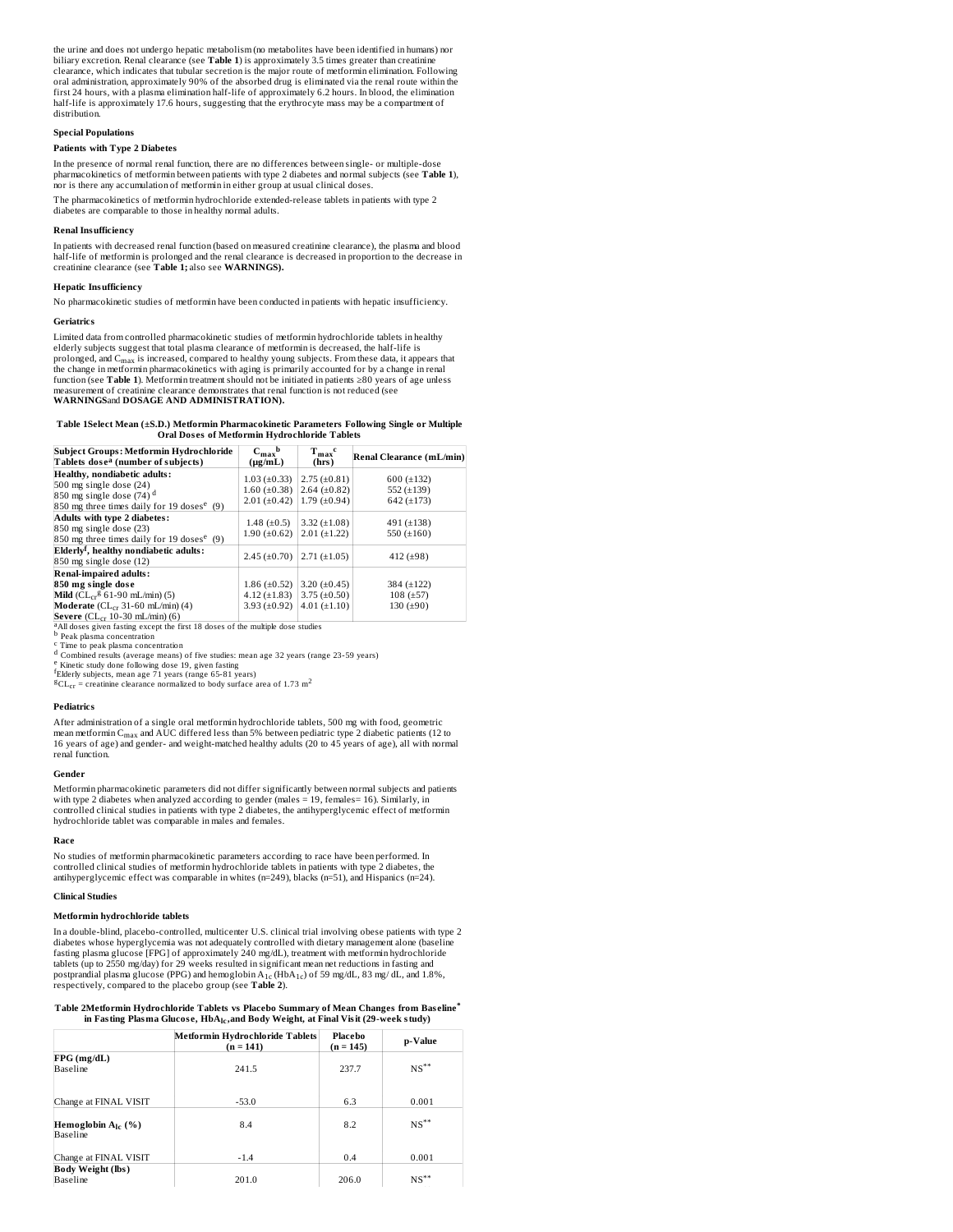the urine and does not undergo hepatic metabolism (no metabolites have been identified in humans) nor biliary excretion. Renal clearance (see **Table 1**) is approximately 3.5 times greater than creatinine clearance, which indicates that tubular secretion is the major route of metformin elimination. Following oral administration, approximately 90% of the absorbed drug is eliminated via the renal route within the first 24 hours, with a plasma elimination half-life of approximately 6.2 hours. In blood, the elimination half-life is approximately 17.6 hours, suggesting that the erythrocyte mass may be a compartment of distribution.

#### **Special Populations**

#### **Patients with Type 2 Diabetes**

In the presence of normal renal function, there are no differences between single- or multiple-dose pharmacokinetics of metformin between patients with type 2 diabetes and normal subjects (see **Table 1**), nor is there any accumulation of metformin in either group at usual clinical doses.

The pharmacokinetics of metformin hydrochloride extended-release tablets in patients with type 2 diabetes are comparable to those in healthy normal adults.

## **Renal Insufficiency**

In patients with decreased renal function (based on measured creatinine clearance), the plasma and blood half-life of metformin is prolonged and the renal clearance is decreased in proportion to the decrease in creatinine clearance (see **Table 1;** also see **WARNINGS).**

## **Hepatic Insufficiency**

No pharmacokinetic studies of metformin have been conducted in patients with hepatic insufficiency.

## **Geriatrics**

Limited data from controlled pharmacokinetic studies of metformin hydrochloride tablets in healthy elderly subjects suggest that total plasma clearance of metformin is decreased, the half-life is<br>prolonged, and C<sub>max</sub> is increased, compared to healthy young subjects. From these data, it appears that<br>the change in metfor function (see **Table 1**). Metformin treatment should not be initiated in patients ≥80 years of age unless measurement of creatinine clearance demonstrates that renal function is not reduced (see **WARNINGS**and **DOSAGE AND ADMINISTRATION).**

#### **Table 1Select Mean (±S.D.) Metformin Pharmacokinetic Parameters Following Single or Multiple Oral Dos es of Metformin Hydrochloride Tablets**

| Subject Groups: Metformin Hydrochloride<br>Tablets dose <sup>a</sup> (number of subjects)                                                                                                              | $C_{\rm max}$ <sub>b</sub><br>$(\mu g/mL)$         | $T_{max}$ <sup>c</sup><br>(hrs)                                                                                         | <b>Renal Clearance (mL/min)</b>                       |
|--------------------------------------------------------------------------------------------------------------------------------------------------------------------------------------------------------|----------------------------------------------------|-------------------------------------------------------------------------------------------------------------------------|-------------------------------------------------------|
| Healthy, nondiabetic adults:<br>500 mg single dose (24)<br>850 mg single dose $(74)$ <sup>d</sup><br>850 mg three times daily for 19 doses <sup>e</sup> (9)                                            |                                                    | $1.03 (\pm 0.33)$ 2.75 ( $\pm 0.81$ )<br>1.60 ( $\pm$ 0.38) 2.64 ( $\pm$ 0.82)<br>$2.01 (\pm 0.42)$ 1.79 ( $\pm 0.94$ ) | $600 (\pm 132)$<br>552 $(\pm 139)$<br>642 $(\pm 173)$ |
| Adults with type 2 diabetes:<br>850 mg single dose (23)<br>850 mg three times daily for 19 doses <sup>e</sup> (9)<br>Elderly <sup>f</sup> , healthy nondiabetic adults:                                | 1.48 $(\pm 0.5)$<br>$1.90 (\pm 0.62)$              | $3.32 (\pm 1.08)$<br>$2.01 (\pm 1.22)$                                                                                  | 491 $(\pm 138)$<br>550 $(\pm 160)$                    |
| 850 mg single dose (12)                                                                                                                                                                                | $2.45 \left( \pm 0.70 \right)$ 2.71 ( $\pm 1.05$ ) |                                                                                                                         | 412 $(\pm 98)$                                        |
| <b>Renal-impaired adults:</b><br>850 mg single dose<br><b>Mild</b> ( $CL_{cr}$ <sup>g</sup> 61-90 mL/min) (5)<br><b>Moderate</b> ( $CL_{cr}$ 31-60 mL/min) (4)<br>Severe ( $CL_{cr}$ 10-30 mL/min) (6) | 4.12 $(\pm 1.83)$ 3.75 $(\pm 0.50)$                | 1.86 ( $\pm$ 0.52) 3.20 ( $\pm$ 0.45)<br>$3.93 \left( \pm 0.92 \right)$ 4.01 ( $\pm 1.10$ )                             | 384 $(\pm 122)$<br>$108 (\pm 57)$<br>130 $(\pm 90)$   |
| <sup>a</sup> All doses given fasting except the first 18 doses of the multiple dose studies<br><sup>b</sup> Peak plasma concentration<br>C Time to neak plasma concentration                           |                                                    |                                                                                                                         |                                                       |

All doses given fasting except the first 18 doses of the multiple dose studies<br>'Peak plasma concentration<br>Time to peak plasma concentration

<sup>1</sup> Combined results (average means) of five studies: mean age 32 years (range 23-59 years)<br>' Kinetic study done following dose 19, given fasting<br>Elderly subjects, mean age 71 years (range 65-81 years) d Combined results (average means) of five studies: mean age 32 years (ra<br><sup>e</sup> Kinetic study done following dose 19, given fasting<br><sup>f</sup>Elderly subjects, mean age 71 years (range 65-81 years)<br><sup>8CT</sup> = creatining clearance norm

 ${}^{\text{g}}CL_{cr}$  = creatinine clearance normalized to body surface area of 1.73 m<sup>2</sup>

## **Pediatrics**

After administration of a single oral metformin hydrochloride tablets, 500 mg with food, geometric mean metformin C<sub>max</sub> and AUC differed less than 5% between pediatric type 2 diabetic patients (12 to<br>16 years of age) and gender- and weight-matched healthy adults (20 to 45 years of age), all with normal renal function.

#### **Gender**

Metformin pharmacokinetic parameters did not differ significantly between normal subjects and patients with type 2 diabetes when analyzed according to gender (males = 19, females= 16). Similarly, in controlled clinical studies in patients with type 2 diabetes, the antihyperglycemic effect of metformin hydrochloride tablet was comparable in males and females.

## **Race**

No studies of metformin pharmacokinetic parameters according to race have been performed. In controlled clinical studies of metformin hydrochloride tablets in patients with type 2 diabetes, the antihyperglycemic effect was comparable in whites (n=249), blacks (n=51), and Hispanics (n=24).

#### **Clinical Studies**

## **Metformin hydrochloride tablets**

In a double-blind, placebo-controlled, multicenter U.S. clinical trial involving obese patients with type 2 diabetes whose hyperglycemia was not adequately controlled with dietary management alone (baseline fasting plasma glucose [FPG] of approximately 240 mg/dL), treatment with metformin hydrochloride tablets (up to 2550 mg/day) for 29 weeks resulted in significant mean net reductions in fasting and<br>postprandial plasma glucose (PPG) and hemoglobin A<sub>1c</sub> (HbA<sub>1c</sub>) of 59 mg/dL, 83 mg/ dL, and 1.8%, respectively, compared to the placebo group (see **Table 2**).

#### **Table 2Metformin Hydrochloride Tablets vs Placebo Summary of Mean Changes from Bas eline \* in Fasting Plasma Glucos e, HbA ,and Body Weight, at Final Visit (29-week study) lc**

|                                             | Metformin Hydrochloride Tablets<br>$(n = 141)$ | Placebo<br>$(n = 145)$ | p-Value |
|---------------------------------------------|------------------------------------------------|------------------------|---------|
| FPG(mg/dL)<br><b>Baseline</b>               | 241.5                                          | 237.7                  | $NS**$  |
| Change at FINAL VISIT                       | $-53.0$                                        | 6.3                    | 0.001   |
| Hemoglobin $A_{1c}$ (%)<br><b>Baseline</b>  | 8.4                                            | 8.2                    | $NS**$  |
| Change at FINAL VISIT                       | $-1.4$                                         | 0.4                    | 0.001   |
| <b>Body Weight (lbs)</b><br><b>Baseline</b> | 201.0                                          | 206.0                  | $NS**$  |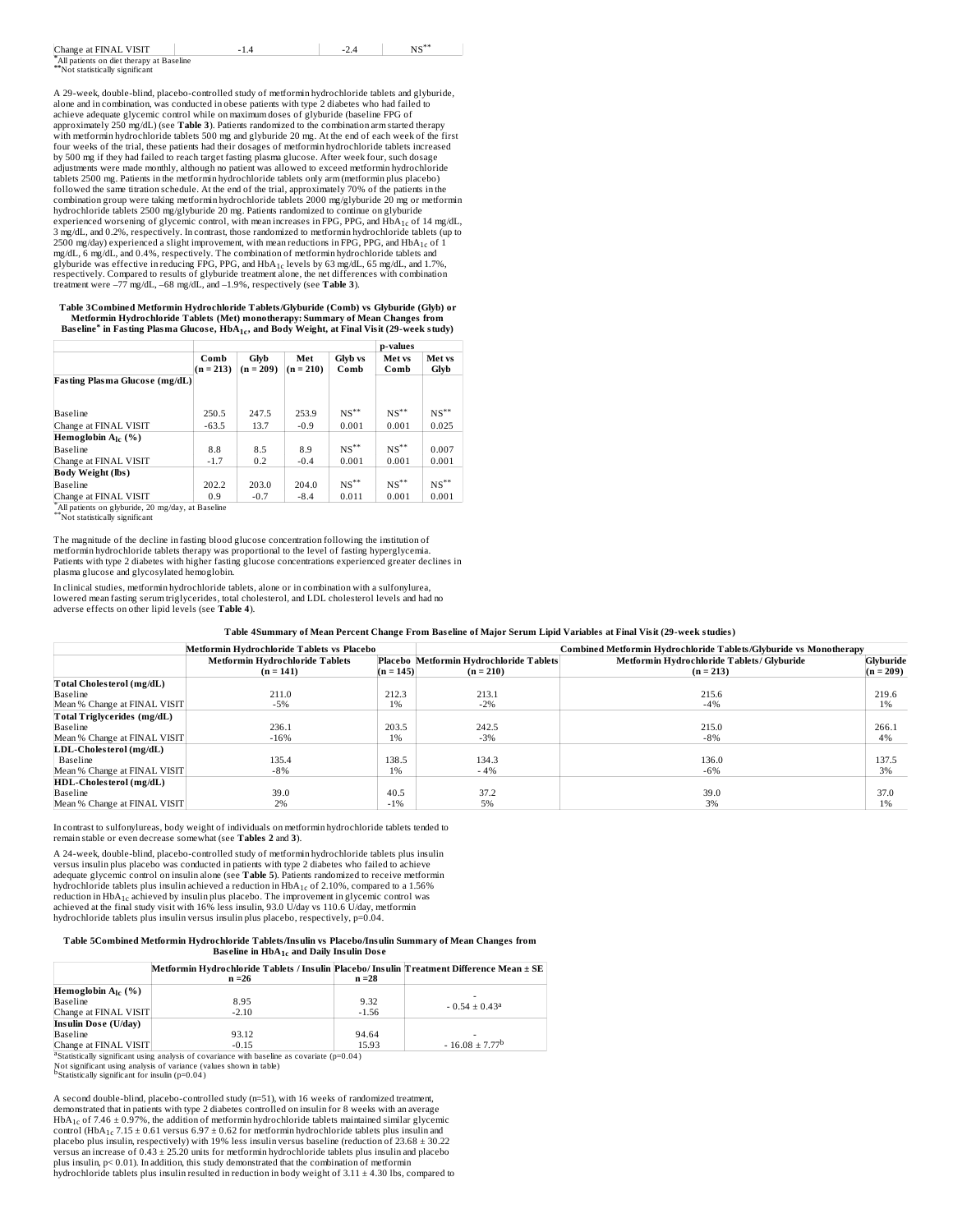| Change at FINAL VISIT                         |  |  |
|-----------------------------------------------|--|--|
| "All patients on diet therapy at Baseline<br> |  |  |

Not statistically significant **\*\***

A 29-week, double-blind, placebo-controlled study of metformin hydrochloride tablets and glyburide, alone and in combination, was conducted in obese patients with type 2 diabetes who had failed to achieve adequate glycemic control while on maximum doses of glyburide (baseline FPG of approximately 250 mg/dL) (see **Table 3**). Patients randomized to the combination arm started therapy<br>with metformin hydrochloride tablets 500 mg and glyburide 20 mg. At the end of each week of the first four weeks of the trial, these patients had their dosages of metformin hydrochloride tablets increased by 500 mg if they had failed to reach target fasting plasma glucose. After week four, such dosage adjustments were made monthly, although no patient was allowed to exceed metformin hydrochloride tablets 2500 mg. Patients in the metformin hydrochloride tablets only arm (metformin plus placebo) followed the same titration schedule. At the end of the trial, approximately 70% of the patients in the combination group were taking metformin hydrochloride tablets 2000 mg/glyburide 20 mg or metformin hydrochloride tablets 2500 mg/glyburide 20 mg. Patients randomized to continue on glyburide experienced worsening of glycemic control, with mean increases in FPG, PPG, and  $HbA_{1c}$  of 14 mg/dL, 3 mg/dL, and 0.2%, respectively. In contrast, those randomized to metformin hydrochloride tablets (up to 2500 mg/day) experienced a slight improvement, with mean reductions in FPG, PPG, and  $\rm HbA_{1c}$  of  $1$ mg/dL, 6 mg/dL, and 0.4%, respectively. The combination of metformin hydrochloride tablets and<br>glyburide was effective in reducing FPG, PPG, and HbA<sub>1c</sub> levels by 63 mg/dL, 65 mg/dL, and 1.7%, respectively. Compared to results of glyburide treatment alone, the net differences with combination treatment were –77 mg/dL, –68 mg/dL, and –1.9%, respectively (see **Table 3**).

# **Table 3Combined Metformin Hydrochloride Tablets/Glyburide (Comb) vs Glyburide (Glyb) or** Metformin Hydrochloride Tablets (Met) monotherapy: Summary of Mean Changes from<br>Baseline\* in Fasting Plasma Glucose, HbA<sub>1c</sub>, and Body Weight, at Final Visit (29-week study)

|                                |                     |                     |                    |                 | p-values       |                |
|--------------------------------|---------------------|---------------------|--------------------|-----------------|----------------|----------------|
|                                | Comb<br>$(n = 213)$ | Glyb<br>$(n = 209)$ | Met<br>$(n = 210)$ | Glyb vs<br>Comb | Met vs<br>Comb | Met vs<br>Glyb |
| Fasting Plasma Glucose (mg/dL) |                     |                     |                    |                 |                |                |
|                                |                     |                     |                    |                 |                |                |
| <b>Baseline</b>                | 250.5               | 247.5               | 253.9              | $NS^*$          | $NS**$         | $NS**$         |
| Change at FINAL VISIT          | $-63.5$             | 13.7                | $-0.9$             | 0.001           | 0.001          | 0.025          |
| Hemoglobin $A_{1c}$ (%)        |                     |                     |                    |                 |                |                |
| <b>Baseline</b>                | 8.8                 | 8.5                 | 8.9                | $NS^{\ast\ast}$ | $NS**$         | 0.007          |
| Change at FINAL VISIT          | $-1.7$              | 0.2                 | $-0.4$             | 0.001           | 0.001          | 0.001          |
| <b>Body Weight (lbs)</b>       |                     |                     |                    |                 |                |                |
| <b>Baseline</b>                | 202.2               | 203.0               | 204.0              | $NS^*$          | $NS**$         | $NS**$         |
| Change at FINAL VISIT          | 0.9                 | $-0.7$              | $-8.4$             | 0.011           | 0.001          | 0.001          |

 $^*$ All patients on glyburide, 20 mg/day, at Baseline  $^{**}$ Not statistically significant

The magnitude of the decline in fasting blood glucose concentration following the institution of metformin hydrochloride tablets therapy was proportional to the level of fasting hyperglycemia. Patients with type 2 diabetes with higher fasting glucose concentrations experienced greater declines in plasma glucose and glycosylated hemoglobin.

In clinical studies, metformin hydrochloride tablets, alone or in combination with a sulfonylurea, lowered mean fasting serum triglycerides, total cholesterol, and LDL cholesterol levels and had no adverse effects on other lipid levels (see **Table 4**).

Table 4Summary of Mean Percent Change From Baseline of Major Serum Lipid Variables at Final Visit (29-week studies)

|                              | Metformin Hydrochloride Tablets vs Placebo            |             |                                                        | Combined Metformin Hydrochloride Tablets/Glyburide vs Monotherapy |                          |
|------------------------------|-------------------------------------------------------|-------------|--------------------------------------------------------|-------------------------------------------------------------------|--------------------------|
|                              | <b>Metformin Hydrochloride Tablets</b><br>$(n = 141)$ | $(n = 145)$ | Placebo Metformin Hydrochloride Tablets<br>$(n = 210)$ | Metformin Hydrochloride Tablets/ Glyburide<br>$(n = 213)$         | Glyburide<br>$(n = 209)$ |
| Total Cholesterol (mg/dL)    |                                                       |             |                                                        |                                                                   |                          |
| <b>Baseline</b>              | 211.0                                                 | 212.3       | 213.1                                                  | 215.6                                                             | 219.6                    |
| Mean % Change at FINAL VISIT | $-5%$                                                 | 1%          | $-2%$                                                  | $-4%$                                                             | 1%                       |
| Total Triglycerides (mg/dL)  |                                                       |             |                                                        |                                                                   |                          |
| <b>Baseline</b>              | 236.1                                                 | 203.5       | 242.5                                                  | 215.0                                                             | 266.1                    |
| Mean % Change at FINAL VISIT | $-16%$                                                | 1%          | $-3%$                                                  | $-8%$                                                             | 4%                       |
| LDL-Cholesterol (mg/dL)      |                                                       |             |                                                        |                                                                   |                          |
| Baseline                     | 135.4                                                 | 138.5       | 134.3                                                  | 136.0                                                             | 137.5                    |
| Mean % Change at FINAL VISIT | -8%                                                   | 1%          | $-4%$                                                  | $-6\%$                                                            | 3%                       |
| HDL-Cholesterol (mg/dL)      |                                                       |             |                                                        |                                                                   |                          |
| <b>Baseline</b>              | 39.0                                                  | 40.5        | 37.2                                                   | 39.0                                                              | 37.0                     |
| Mean % Change at FINAL VISIT | 2%                                                    | $-1%$       | 5%                                                     | 3%                                                                | 1%                       |

In contrast to sulfonylureas, body weight of individuals on metformin hydrochloride tablets tended to remain stable or even decrease somewhat (see **Tables 2** and **3**).

A 24-week, double-blind, placebo-controlled study of metformin hydrochloride tablets plus insulin versus insulin plus placebo was conducted in patients with type 2 diabetes who failed to achieve adequate glycemic control on insulin alone (see **Table 5**). Patients randomized to receive metformin hydrochloride tablets plus insulin achieved a reduction in HbA <sub>1c</sub> of 2.10%, compared to a 1.56%<br>reduction in HbA <sub>1c</sub> achieved by insulin plus placebo. The improvement in glycemic control was achieved at the final study visit with 16% less insulin, 93.0 U/day vs 110.6 U/day, metformin hydrochloride tablets plus insulin versus insulin plus placebo, respectively, p=0.04.

## **Table 5Combined Metformin Hydrochloride Tablets/Insulin vs Placebo/Insulin Summary of Mean Changes from Bas eline in HbA and Daily Insulin Dos e 1c**

|                         | Metformin Hydrochloride Tablets / Insulin Placebo/ Insulin Treatment Difference Mean ± SE |          |                                |
|-------------------------|-------------------------------------------------------------------------------------------|----------|--------------------------------|
|                         | $n = 26$                                                                                  | $n = 28$ |                                |
| Hemoglobin $A_{1c}$ (%) |                                                                                           |          |                                |
| Baseline                | 8.95                                                                                      | 9.32     | $-0.54 \pm 0.43$ <sup>a</sup>  |
| Change at FINAL VISIT   | $-2.10$                                                                                   | $-1.56$  |                                |
| Insulin Dose (U/day)    |                                                                                           |          |                                |
| Baseline                | 93.12                                                                                     | 94.64    |                                |
| Change at FINAL VISIT   | $-0.15$                                                                                   | 15.93    | $-16.08 \pm 7.77$ <sup>b</sup> |

<sup>a</sup>Statistically significant using analysis of covariance with baseline as covariate ( $p=0.04$ )

Not significant using analysis of variance (values shown in table) Statistically significant for insulin (p=0.04 ) b

A second double-blind, placebo-controlled study (n=51), with 16 weeks of randomized treatment, demonstrated that in patients with type 2 diabetes controlled on insulin for 8 weeks with an average HbA<sub>1c</sub> of 7.46 ± 0.97%, the addition of metformin hydrochloride tablets maintained similar glycemic<br>control (HbA<sub>1c</sub> 7.15 ± 0.61 versus 6.97 ± 0.62 for metformin hydrochloride tablets plus insulin and placebo plus insulin, respectively) with 19% less insulin versus baseline (reduction of 23.68 ± 30.22 versus an increase of  $0.43 \pm 25.20$  units for metformin hydrochloride tablets plus insulin and placebo plus insulin,  $p < 0.01$ ). In addition, this study demonstrated that the combination of metformin hydrochloride tablets plus insulin resulted in reduction in body weight of  $3.11 \pm 4.30$  lbs, compared to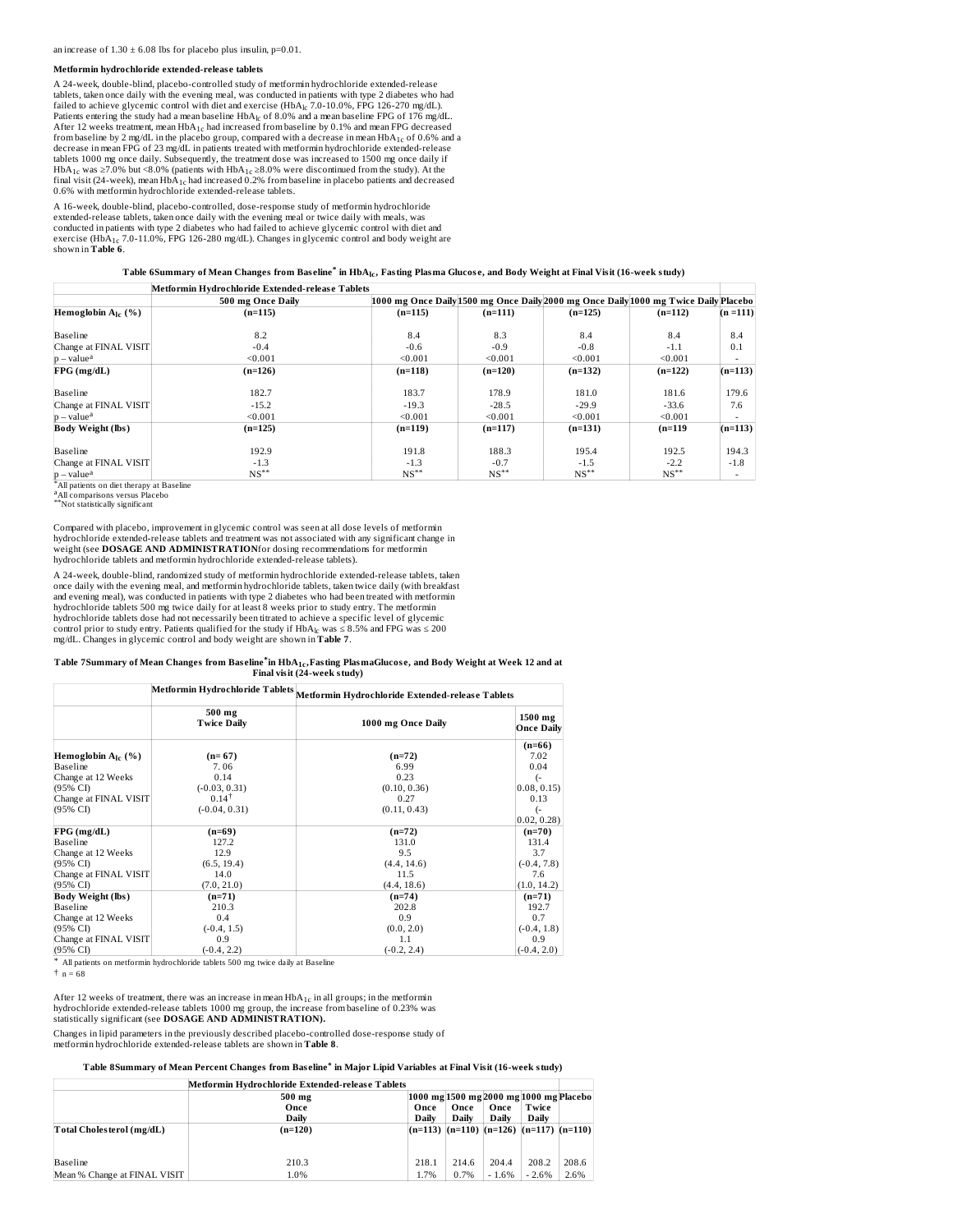# an increase of  $1.30 \pm 6.08$  lbs for placebo plus insulin, p=0.01.

## **Metformin hydrochloride extended-releas e tablets**

A 24-week, double-blind, placebo-controlled study of metformin hydrochloride extended-release tablets, taken once daily with the evening meal, was conducted in patients with type 2 diabetes who had failed to achieve glycemic control with diet and exercise (HbA $_{\rm lc}$  7.0-10.0%, FPG 126-270 mg/dL). Patients entering the study had a mean baseline HbA<sub>lc</sub> of 8.0% and a mean baseline FPG of 176 mg/dL.<br>After 12 weeks treatment, mean HbA<sub>1c</sub> had increased from baseline by 0.1% and mean FPG decreased from baseline by 2 mg/dL in the placebo group, compared with a decrease in mean HbA<sub>1c</sub> of 0.6% and a<br>decrease in mean FPG of 23 mg/dL in patients treated with metformin hydrochloride extended-release tablets 1000 mg once daily. Subsequently, the treatment dose was increased to 1500 mg once daily if<br>HbA<sub>1c</sub> was ≥7.0% but <8.0% (patients with HbA<sub>1c</sub> ≥8.0% were discontinued from the study). At the final visit (24-week), mean  $HbA_1c$  had increased 0.2% from baseline in placebo patients and decreased 0.6% with metformin hydrochloride extended-release tablets.

A 16-week, double-blind, placebo-controlled, dose-response study of metformin hydrochloride<br>extended-release tablets, taken once daily with the evening meal or twice daily with meals, was<br>conducted in patients with type 2

## Table 6Summary of Mean Changes from Baseline\* in HbA<sub>lc</sub>, Fasting Plasma Glucose, and Body Weight at Final Visit (16-week study)

|                          | Metformin Hydrochloride Extended-release Tablets |           |           |           |                                                                                      |             |
|--------------------------|--------------------------------------------------|-----------|-----------|-----------|--------------------------------------------------------------------------------------|-------------|
|                          | 500 mg Once Daily                                |           |           |           | 1000 mg Once Daily 1500 mg Once Daily 2000 mg Once Daily 1000 mg Twice Daily Placebo |             |
| Hemoglobin $A_{1c}$ (%)  | $(n=115)$                                        | $(n=115)$ | $(n=111)$ | $(n=125)$ | $(n=112)$                                                                            | $(n = 111)$ |
| <b>Baseline</b>          | 8.2                                              | 8.4       | 8.3       | 8.4       | 8.4                                                                                  | 8.4         |
| Change at FINAL VISIT    | $-0.4$                                           | $-0.6$    | $-0.9$    | $-0.8$    | $-1.1$                                                                               | 0.1         |
| $p - value^a$            | < 0.001                                          | < 0.001   | < 0.001   | < 0.001   | < 0.001                                                                              | ۰           |
| FPG(mg/dL)               | $(n=126)$                                        | $(n=118)$ | $(n=120)$ | $(n=132)$ | $(n=122)$                                                                            | $(n=113)$   |
| Baseline                 | 182.7                                            | 183.7     | 178.9     | 181.0     | 181.6                                                                                | 179.6       |
| Change at FINAL VISIT    | $-15.2$                                          | $-19.3$   | $-28.5$   | $-29.9$   | $-33.6$                                                                              | 7.6         |
| p – value <sup>a</sup>   | < 0.001                                          | < 0.001   | < 0.001   | < 0.001   | < 0.001                                                                              | ۰           |
| <b>Body Weight (lbs)</b> | $(n=125)$                                        | $(n=119)$ | $(n=117)$ | $(n=131)$ | $(n=119)$                                                                            | $(n=113)$   |
| <b>Baseline</b>          | 192.9                                            | 191.8     | 188.3     | 195.4     | 192.5                                                                                | 194.3       |
| Change at FINAL VISIT    | $-1.3$                                           | $-1.3$    | $-0.7$    | $-1.5$    | $-2.2$                                                                               | $-1.8$      |
| p – value <sup>a</sup>   | $NS^*$                                           | $NS**$    | $NS$ **   | $NS**$    | $NS**$                                                                               | ۰           |

\*All patients on diet therapy at Baseline

<sup>a</sup> All comparisons versus Placebo<br>\*\*Not statistically significant

Compared with placebo, improvement in glycemic control was seen at all dose levels of metformin hydrochloride extended-release tablets and treatment was not associated with any significant change in weight (see **DOSAGE AND ADMINISTRATION**for dosing recommendations for metformin hydrochloride tablets and metformin hydrochloride extended-release tablets).

A 24-week, double-blind, randomized study of metformin hydrochloride extended-release tablets, taken once daily with the evening meal, and metformin hydrochloride tablets, taken twice daily (with breakfast and evening meal), was conducted in patients with type 2 diabetes who had been treated with metformin hydrochloride tablets 500 mg twice daily for at least 8 weeks prior to study entry. The metformin hydrochloride tablets dose had not necessarily been titrated to achieve a specific level of glycemic control prior to study entry. Patients qualified for the study if  $HbA_{lc}$  was  $\leq 8.5\%$  and FPG was  $\leq 200$ mg/dL. Changes in glycemic control and body weight are shown in **Table 7**.

# Table 7Summary of Mean Changes from Baseline\*in HbA<sub>1c</sub>,Fasting PlasmaGlucose, and Body Weight at Week 12 and at<br>Final visit (24-week study)

|                          |                              | Metformin Hydrochloride Tablets $_{\rm [Metformin\,Hydrochloride\; Extended\mbox{-rel}{}ae$ Tablets |                                |
|--------------------------|------------------------------|-----------------------------------------------------------------------------------------------------|--------------------------------|
|                          | 500 mg<br><b>Twice Daily</b> | 1000 mg Once Daily                                                                                  | $1500$ mg<br><b>Once Daily</b> |
|                          |                              |                                                                                                     | $(n=66)$                       |
| Hemoglobin $A_{1c}$ (%)  | $(n=67)$                     | $(n=72)$                                                                                            | 7.02                           |
| <b>Baseline</b>          | 7.06                         | 6.99                                                                                                | 0.04                           |
| Change at 12 Weeks       | 0.14                         | 0.23                                                                                                | <sup>-</sup>                   |
| (95% CI)                 | $(-0.03, 0.31)$              | (0.10, 0.36)                                                                                        | (0.08, 0.15)                   |
| Change at FINAL VISIT    | $0.14^+$                     | 0.27                                                                                                | 0.13                           |
| (95% CI)                 | $(-0.04, 0.31)$              | (0.11, 0.43)                                                                                        | <sup>-</sup>                   |
|                          |                              |                                                                                                     | 0.02, 0.28                     |
| FPG(mg/dL)               | $(n=69)$                     | $(n=72)$                                                                                            | $(n=70)$                       |
| <b>Baseline</b>          | 127.2                        | 131.0                                                                                               | 131.4                          |
| Change at 12 Weeks       | 12.9                         | 9.5                                                                                                 | 3.7                            |
| (95% CI)                 | (6.5, 19.4)                  | (4.4, 14.6)                                                                                         | $(-0.4, 7.8)$                  |
| Change at FINAL VISIT    | 14.0                         | 11.5                                                                                                | 7.6                            |
| (95% CI)                 | (7.0, 21.0)                  | (4.4, 18.6)                                                                                         | (1.0, 14.2)                    |
| <b>Body Weight (lbs)</b> | $(n=71)$                     | $(n=74)$                                                                                            | $(n=71)$                       |
| <b>Baseline</b>          | 210.3                        | 202.8                                                                                               | 192.7                          |
| Change at 12 Weeks       | 0.4                          | 0.9                                                                                                 | 0.7                            |
| (95% CI)                 | $(-0.4, 1.5)$                | (0.0, 2.0)                                                                                          | $(-0.4, 1.8)$                  |
| Change at FINAL VISIT    | 0.9                          | 1.1                                                                                                 | 0.9                            |
| (95% CI)                 | $(-0.4, 2.2)$                | $(-0.2, 2.4)$                                                                                       | $(-0.4, 2.0)$                  |

\* All patients on metformin hydrochloride tablets 500 mg twice daily at Baseline

† n = 68

After 12 weeks of treatment, there was an increase in mean  $HbA_{1c}$  in all groups; in the metformin hydrochloride extended-release tablets 1000 mg group, the increase from baseline of 0.23% was statistically significant (see **DOSAGE AND ADMINISTRATION).**

Changes in lipid parameters in the previously described placebo-controlled dose-response study of<br>metformin hydrochloride extended-release tablets are shown in **Table 8**.

## Table 8Summary of Mean Percent Changes from Baseline\* in Major Lipid Variables at Final Visit (16-week study)

|                              | Metformin Hydrochloride Extended-release Tablets |       |       |                                                   |          |       |
|------------------------------|--------------------------------------------------|-------|-------|---------------------------------------------------|----------|-------|
|                              | 500 mg                                           |       |       | 1000 mg 1500 mg 2000 mg 1000 mg Placebo           |          |       |
|                              | Once                                             | Once  | Once  | Once                                              | Twice    |       |
|                              | <b>Daily</b>                                     | Daily | Daily | Daily                                             | Daily    |       |
| Total Cholesterol (mg/dL)    | $(n=120)$                                        |       |       | $(n=113)$ $(n=110)$ $(n=126)$ $(n=117)$ $(n=110)$ |          |       |
|                              |                                                  |       |       |                                                   |          |       |
|                              |                                                  |       |       |                                                   |          |       |
| <b>Baseline</b>              | 210.3                                            | 218.1 | 214.6 | 204.4                                             | 208.2    | 208.6 |
| Mean % Change at FINAL VISIT | 1.0%                                             | 1.7%  | 0.7%  | $-1.6\%$                                          | $-2.6\%$ | 2.6%  |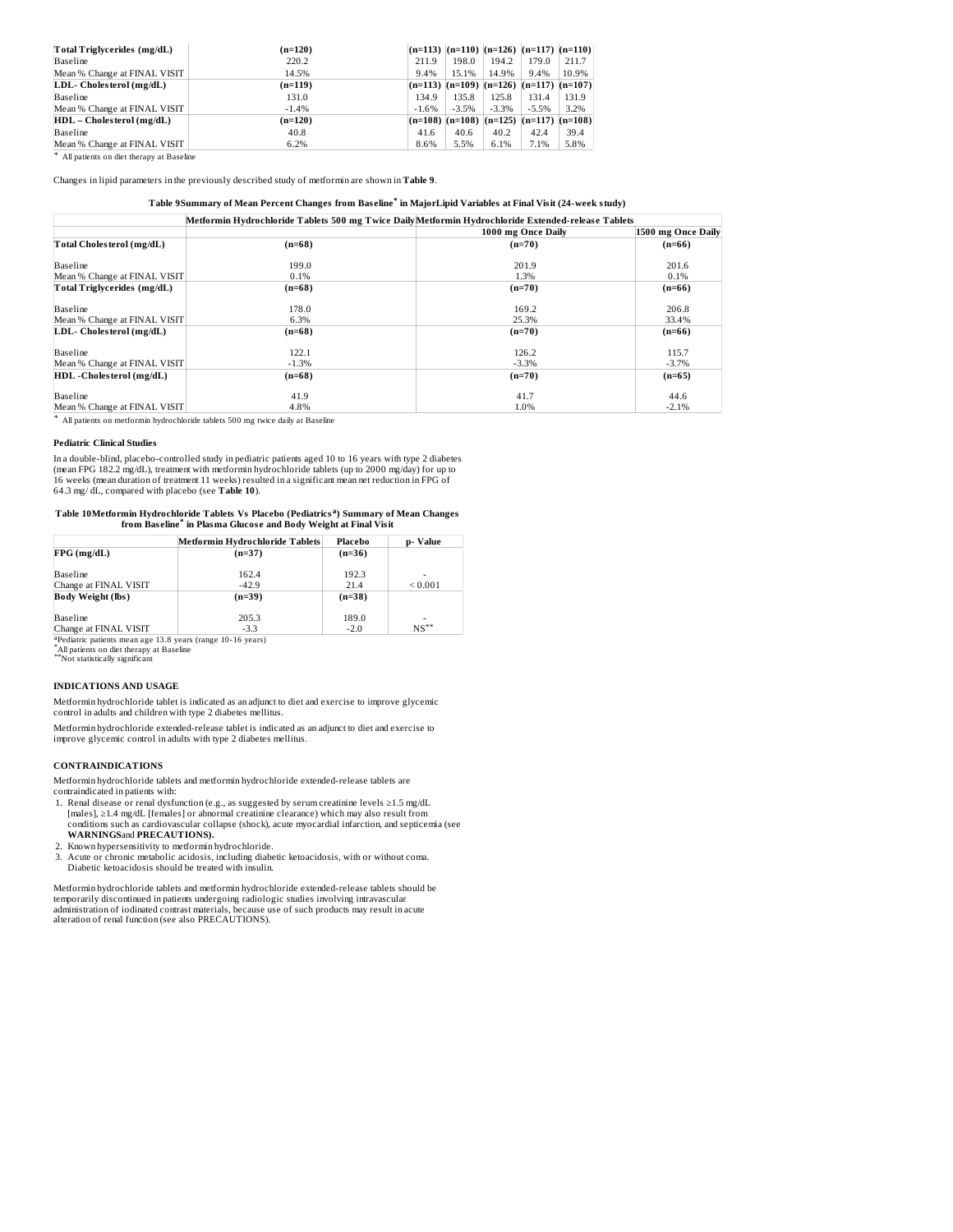| Total Triglycerides (mg/dL)  | $(n=120)$ |          | $(n=113)$ $(n=110)$ $(n=126)$ $(n=117)$ $(n=110)$ |         |         |       |
|------------------------------|-----------|----------|---------------------------------------------------|---------|---------|-------|
| <b>Baseline</b>              | 220.2     | 211.9    | 198.0                                             | 194.2   | 179.0   | 211.7 |
| Mean % Change at FINAL VISIT | 14.5%     | 9.4%     | 15.1%                                             | 14.9%   | 9.4%    | 10.9% |
| LDL- Cholesterol (mg/dL)     | $(n=119)$ |          | $(n=113)$ $(n=109)$ $(n=126)$ $(n=117)$ $(n=107)$ |         |         |       |
| <b>Baseline</b>              | 131.0     | 134.9    | 135.8                                             | 125.8   | 131.4   | 131.9 |
| Mean % Change at FINAL VISIT | $-1.4%$   | $-1.6\%$ | $-3.5%$                                           | $-3.3%$ | $-5.5%$ | 3.2%  |
| $HDL$ – Cholesterol (mg/dL)  | $(n=120)$ |          | $(n=108)$ $(n=108)$ $(n=125)$ $(n=117)$ $(n=108)$ |         |         |       |
| <b>Baseline</b>              | 40.8      | 41.6     | 40.6                                              | 40.2    | 42.4    | 39.4  |
| Mean % Change at FINAL VISIT | 6.2%      | 8.6%     | 5.5%                                              | 6.1%    | 7.1%    | 5.8%  |

\* All patients on diet therapy at Baseline

Changes in lipid parameters in the previously described study of metformin are shown in **Table 9**.

## Table 9Summary of Mean Percent Changes from Baseline\* in MajorLipid Variables at Final Visit (24-week study)

|                              | Metformin Hydrochloride Tablets 500 mg Twice DailyMetformin Hydrochloride Extended-release Tablets |                    |                    |
|------------------------------|----------------------------------------------------------------------------------------------------|--------------------|--------------------|
|                              |                                                                                                    | 1000 mg Once Daily | 1500 mg Once Daily |
| Total Cholesterol (mg/dL)    | $(n=68)$                                                                                           | $(n=70)$           | $(n=66)$           |
| <b>Baseline</b>              | 199.0                                                                                              | 201.9              | 201.6              |
| Mean % Change at FINAL VISIT | 0.1%                                                                                               | 1.3%               | 0.1%               |
| Total Triglycerides (mg/dL)  | $(n=68)$                                                                                           | $(n=70)$           | $(n=66)$           |
| <b>Baseline</b>              | 178.0                                                                                              | 169.2              | 206.8              |
| Mean % Change at FINAL VISIT | 6.3%                                                                                               | 25.3%              | 33.4%              |
| LDL- Cholesterol (mg/dL)     | $(n=68)$                                                                                           | $(n=70)$           | $(n=66)$           |
| <b>Baseline</b>              | 122.1                                                                                              | 126.2              | 115.7              |
| Mean % Change at FINAL VISIT | $-1.3%$                                                                                            | $-3.3%$            | $-3.7%$            |
| HDL-Cholesterol (mg/dL)      | $(n=68)$                                                                                           | $(n=70)$           | $(n=65)$           |
| <b>Baseline</b>              | 41.9                                                                                               | 41.7               | 44.6               |
| Mean % Change at FINAL VISIT | 4.8%                                                                                               | 1.0%               | $-2.1%$            |

\* All patients on metformin hydrochloride tablets 500 mg twice daily at Baseline

# **Pediatric Clinical Studies**

In a double-blind, placebo-controlled study in pediatric patients aged 10 to 16 years with type 2 diabetes (mean FPG 182.2 mg/dL), treatment with metformin hydrochloride tablets (up to 2000 mg/day) for up to 16 weeks (mean duration of treatment 11 weeks) resulted in a significant mean net reduction in FPG of 64.3 mg/ dL, compared with placebo (see **Table 10**).

Table 10Metformin Hydrochloride Tablets Vs Placebo (Pediatricsª) Summary of Mean Changes<br>from Baseline\* in Plasma Glucose and Body Weight at Final Visit

| $(n=37)$                                                                                                             |          |              |
|----------------------------------------------------------------------------------------------------------------------|----------|--------------|
|                                                                                                                      | $(n=36)$ |              |
| 162.4                                                                                                                | 192.3    |              |
| $-42.9$                                                                                                              | 21.4     | ${}_{0.001}$ |
| $(n=39)$                                                                                                             | $(n=38)$ |              |
| 205.3                                                                                                                | 189.0    |              |
| $-3.3$                                                                                                               | $-2.0$   | $NS^{**}$    |
| <sup>a</sup> Pediatric patients mean age 13.8 years (range 10-16 years)<br>*All patients on diet therapy at Baseline |          |              |
|                                                                                                                      |          |              |

Pediatric patients mean age 13.8 years (range 10-16 years)<br>All patients on diet therapy at Baseline<br>\*Not statistically significant

# **INDICATIONS AND USAGE**

Metformin hydrochloride tablet is indicated as an adjunct to diet and exercise to improve glycemic control in adults and children with type 2 diabetes mellitus.

Metformin hydrochloride extended-release tablet is indicated as an adjunct to diet and exercise to improve glycemic control in adults with type 2 diabetes mellitus.

## **CONTRAINDICATIONS**

Metformin hydrochloride tablets and metformin hydrochloride extended-release tablets are contraindicated in patients with:

- 1. Renal disease or renal dysfunction (e.g., as suggested by serum creatinine levels ≥1.5 mg/dL [males], ≥1.4 mg/dL [females] or abnormal creatinine clearance) which may also result from conditions such as cardiovascular collapse (shock), acute myocardial infarction, and septicemia (see **WARNINGS**and **PRECAUTIONS).**
- 2. Known hypersensitivity to metformin hydrochloride.
- 3. Acute or chronic metabolic acidosis, including diabetic ketoacidosis, with or without coma. Diabetic ketoacidosis should be treated with insulin.

Metformin hydrochloride tablets and metformin hydrochloride extended-release tablets should be temporarily discontinued in patients undergoing radiologic studies involving intravascular administration of iodinated contrast materials, because use of such products may result in acute alteration of renal function (see also PRECAUTIONS).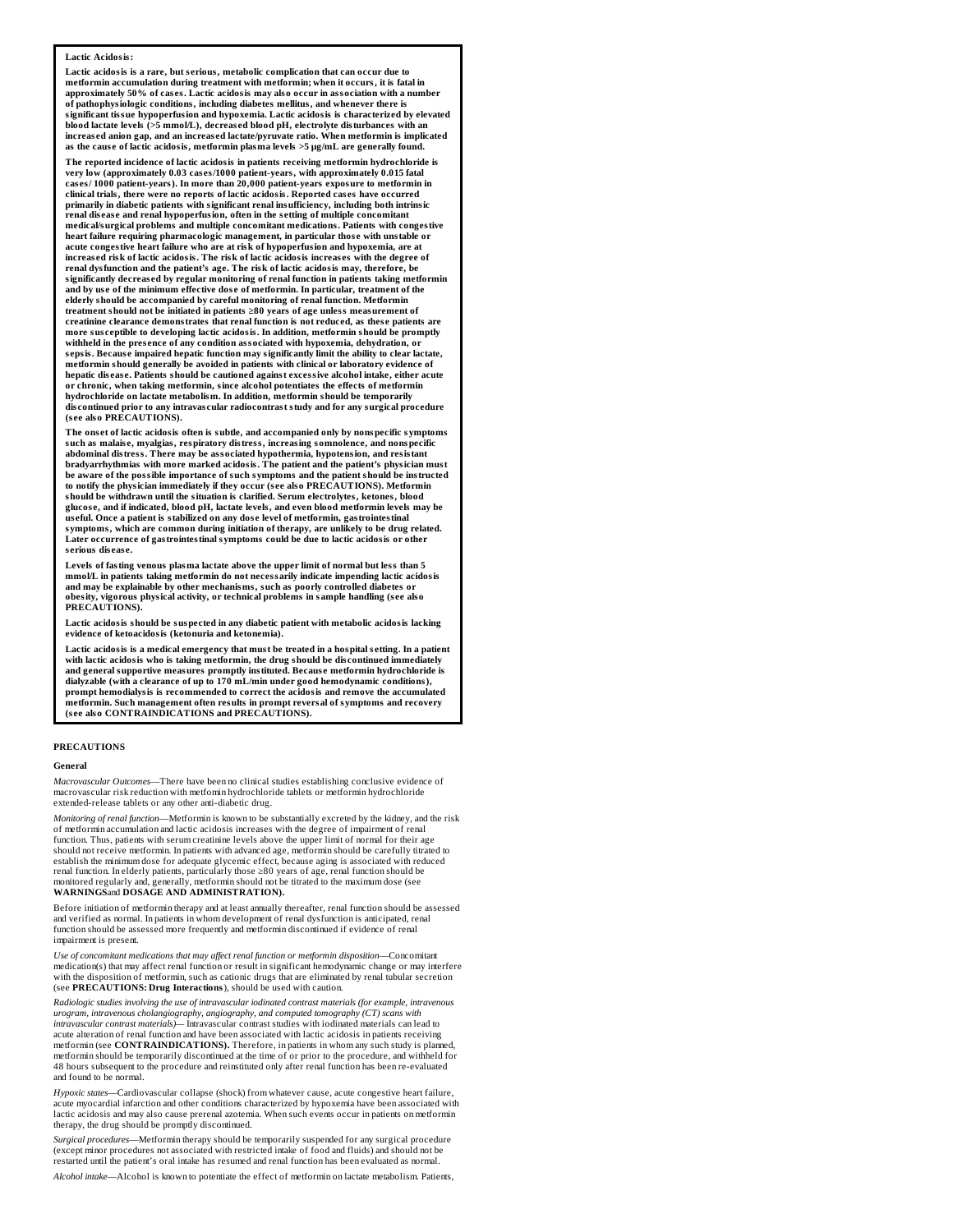#### **Lactic Acidosis:**

**Lactic acidosis is a rare, but s erious, metabolic complication that can occur due to metformin accumulation during treatment with metformin; when it occurs, it is fatal in approximately 50% of cas es. Lactic acidosis may also occur in association with a number of pathophysiologic conditions, including diabetes mellitus, and whenever there is significant tissue hypoperfusion and hypoxemia. Lactic acidosis is characterized by elevated blood lactate levels (>5 mmol/L), decreas ed blood pH, electrolyte disturbances with an increas ed anion gap, and an increas ed lactate/pyruvate ratio. When metformin is implicated as the caus e of lactic acidosis, metformin plasma levels >5 µg/mL are generally found.**

**The reported incidence of lactic acidosis in patients receiving metformin hydrochloride is very low (approximately 0.03 cas es/1000 patient-years, with approximately 0.015 fatal** cases/1000 patient-years). In more than 20,000 patient-years exposure to metformin in<br>clinical trials, there were no reports of lactic acidosis. Reported cases have occurred **primarily in diabetic patients with significant renal insufficiency, including both intrinsic renal dis eas e and renal hypoperfusion, often in the s etting of multiple concomitant medical/surgical problems and multiple concomitant medications. Patients with congestive heart failure requiring pharmacologic management, in particular thos e with unstable or acute congestive heart failure who are at risk of hypoperfusion and hypoxemia, are at increas ed risk of lactic acidosis. The risk of lactic acidosis increas es with the degree of renal dysfunction and the patient's age. The risk of lactic acidosis may, therefore, be significantly decreas ed by regular monitoring of renal function in patients taking metformin and by us e of the minimum effective dos e of metformin. In particular, treatment of the elderly should be accompanied by careful monitoring of renal function. Metformin treatment should not be initiated in patients ≥80 years of age unless measurement of creatinine clearance demonstrates that renal function is not reduced, as thes e patients are more sus ceptible to developing lactic acidosis. In addition, metformin should be promptly withheld in the pres ence of any condition associated with hypoxemia, dehydration, or s epsis. Becaus e impaired hepatic function may significantly limit the ability to clear lactate, metformin should generally be avoided in patients with clinical or laboratory evidence of hepatic dis eas e. Patients should be cautioned against excessive alcohol intake, either acute** or chronic, when taking metformin, since alcohol potentiates the effects of metformin<br>hydrochloride on lactate metabolism. In addition, metformin should be temporarily **dis continued prior to any intravas cular radiocontrast study and for any surgical procedure (s ee also PRECAUTIONS).**

**The ons et of lactic acidosis often is subtle, and accompanied only by nonspecific symptoms such as malais e, myalgias, respiratory distress, increasing somnolence, and nonspecific** abdominal distress. There may be associated hypothermia, hypotension, and resistant<br>bradyarrhythmias with more marked acidosis. The patient and the patient's physician must **be aware of the possible importance of such symptoms and the patient should be instructed to notify the physician immediately if they occur (s ee also PRECAUTIONS). Metformin should be withdrawn until the situation is clarified. Serum electrolytes, ketones, blood glucos e, and if indicated, blood pH, lactate levels, and even blood metformin levels may be us eful. Once a patient is stabilized on any dos e level of metformin, gastrointestinal symptoms, which are common during initiation of therapy, are unlikely to be drug related. Later occurrence of gastrointestinal symptoms could be due to lactic acidosis or other s erious dis eas e.**

**Levels of fasting venous plasma lactate above the upper limit of normal but less than 5 mmol/L in patients taking metformin do not necessarily indicate impending lactic acidosis and may be explainable by other mechanisms, such as poorly controlled diabetes or obesity, vigorous physical activity, or technical problems in sample handling (s ee also PRECAUTIONS).**

**Lactic acidosis should be suspected in any diabetic patient with metabolic acidosis lacking evidence of ketoacidosis (ketonuria and ketonemia).**

**Lactic acidosis is a medical emergency that must be treated in a hospital s etting. In a patient** with lactic acidosis who is taking metformin, the drug should be discontinued immediately<br>and general supportive measures promptly instituted. Because metformin hydrochloride is **dialyzable (with a clearance of up to 170 mL/min under good hemodynamic conditions), prompt hemodialysis is recommended to correct the acidosis and remove the accumulated metformin. Such management often results in prompt reversal of symptoms and recovery (s ee also CONTRAINDICATIONS and PRECAUTIONS).**

#### **PRECAUTIONS**

## **General**

*Macrovascular Outcomes*—There have been no clinical studies establishing conclusive evidence of macrovascular risk reduction with metfomin hydrochloride tablets or metformin hydrochloride extended-release tablets or any other anti-diabetic drug.

*Monitoring of renal function*—Metformin is known to be substantially excreted by the kidney, and the risk of metformin accumulation and lactic acidosis increases with the degree of impairment of renal function. Thus, patients with serum creatinine levels above the upper limit of normal for their age should not receive metformin. In patients with advanced age, metformin should be carefully titrated to establish the minimum dose for adequate glycemic effect, because aging is associated with reduced renal function. In elderly patients, particularly those ≥80 years of age, renal function should be monitored regularly and, generally, metformin should not be titrated to the maximum dose (see **WARNINGS**and **DOSAGE AND ADMINISTRATION).**

Before initiation of metformin therapy and at least annually thereafter, renal function should be assessed and verified as normal. In patients in whom development of renal dysfunction is anticipated, renal function should be assessed more frequently and metformin discontinued if evidence of renal impairment is present.

*Use of concomitant medications that may affect renal function or metformin disposition*—Concomitant medication(s) that may affect renal function or result in significant hemodynamic change or may interfere with the disposition of metformin, such as cationic drugs that are eliminated by renal tubular secretion (see **PRECAUTIONS: Drug Interactions**), should be used with caution.

*Radiologic studies involving the use of intravascular iodinated contrast materials (for example, intravenous* urogram, intravenous cholangiography, angiography, and computed tomography (CT) scans with<br>intravascular contrast materials)— Intravascular contrast studies with iodinated materials can lead to acute alteration of renal function and have been associated with lactic acidosis in patients receiving metformin (see **CONTRAINDICATIONS).** Therefore, in patients in whom any such study is planned,<br>metformin should be temporarily discontinued at the time of or prior to the procedure, and withheld for 48 hours subsequent to the procedure and reinstituted only after renal function has been re-evaluated and found to be normal.

*Hypoxic states*—Cardiovascular collapse (shock) from whatever cause, acute congestive heart failure, acute myocardial infarction and other conditions characterized by hypoxemia have been associated with lactic acidosis and may also cause prerenal azotemia. When such events occur in patients on metformin therapy, the drug should be promptly discontinued.

*Surgical procedures*—Metformin therapy should be temporarily suspended for any surgical procedure (except minor procedures not associated with restricted intake of food and fluids) and should not be restarted until the patient's oral intake has resumed and renal function has been evaluated as normal.

*Alcohol intake*—Alcohol is known to potentiate the effect of metformin on lactate metabolism. Patients,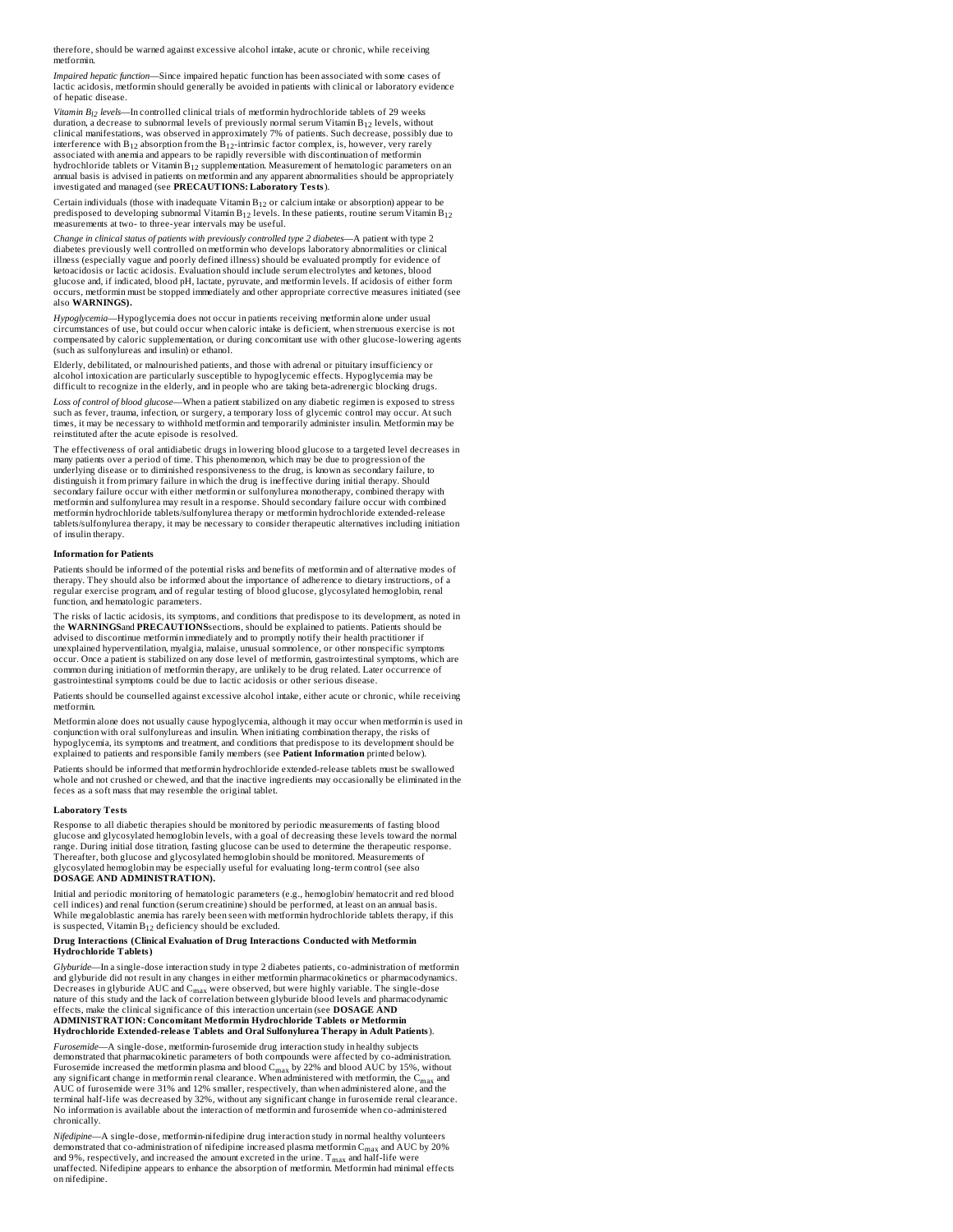therefore, should be warned against excessive alcohol intake, acute or chronic, while receiving metformin.

*Impaired hepatic function—*Since impaired hepatic function has been associated with some cases of<br>lactic acidosis, metformin should generally be avoided in patients with clinical or laboratory evidence of hepatic disease.

*Vitamin B levels*—In controlled clinical trials of metformin hydrochloride tablets of 29 weeks v*itamin B<sub>12</sub> levels*—in controlled clinical trials of metformin hydrochloride tablets of 29 weeks<br>duration, a decrease to subnormal levels of previously normal serum Vitamin B<sub>12</sub> levels, without clinical manifestations, was observed in approximately 7% of patients. Such decrease, possibly due to<br>interference with B<sub>12</sub> absorption from the B<sub>12</sub>-intrinsic factor complex, is, however, very rarely associated with anemia and appears to be rapidly reversible with discontinuation of metformin hydrochloride tablets or Vitamin B<sub>12</sub> supplementation. Measurement of hematologic parameters on an<br>annual basis is advised in patients on metformin and any apparent abnormalities should be appropriately investigated and managed (see **PRECAUTIONS: Laboratory Tests**).

Certain individuals (those with inadequate Vitamin  $B_{12}$  or calcium intake or absorption) appear to be predisposed to developing subnormal Vitamin  $\rm B_{12}$  levels. In these patients, routine serum Vitamin  $\rm B_{12}$ measurements at two- to three-year intervals may be useful.

*Change in clinical status of patients with previously controlled type 2 diabetes*—A patient with type 2 diabetes previously well controlled on metformin who develops laboratory abnormalities or clinical illness (especially vague and poorly defined illness) should be evaluated promptly for evidence of ketoacidosis or lactic acidosis. Evaluation should include serum electrolytes and ketones, blood glucose and, if indicated, blood pH, lactate, pyruvate, and metformin levels. If acidosis of either form occurs, metformin must be stopped immediately and other appropriate corrective measures initiated (see also **WARNINGS).**

*Hypoglycemia*—Hypoglycemia does not occur in patients receiving metformin alone under usual circumstances of use, but could occur when caloric intake is deficient, when strenuous exercise is not compensated by caloric supplementation, or during concomitant use with other glucose-lowering agents (such as sulfonylureas and insulin) or ethanol.

Elderly, debilitated, or malnourished patients, and those with adrenal or pituitary insufficiency or alcohol intoxication are particularly susceptible to hypoglycemic effects. Hypoglycemia may be difficult to recognize in the elderly, and in people who are taking beta-adrenergic blocking drugs.

*Loss of control of blood glucose*—When a patient stabilized on any diabetic regimen is exposed to stress such as fever, trauma, infection, or surgery, a temporary loss of glycemic control may occur. At such times, it may be necessary to withhold metformin and temporarily administer insulin. Metformin may be reinstituted after the acute episode is resolved.

The effectiveness of oral antidiabetic drugs in lowering blood glucose to a targeted level decreases in<br>many patients over a period of time. This phenomenon, which may be due to progression of the underlying disease or to diminished responsiveness to the drug, is known as secondary failure, to distinguish it from primary failure in which the drug is ineffective during initial therapy. Should secondary failure occur with either metformin or sulfonylurea monotherapy, combined therapy with metformin and sulfonylurea may result in a response. Should secondary failure occur with combined<br>metformin hydrochloride tablets/sulfonylurea therapy or metformin hydrochloride extended-release tablets/sulfonylurea therapy, it may be necessary to consider therapeutic alternatives including initiation of insulin therapy.

# **Information for Patients**

Patients should be informed of the potential risks and benefits of metformin and of alternative modes of therapy. They should also be informed about the importance of adherence to dietary instructions, of a regular exercise program, and of regular testing of blood glucose, glycosylated hemoglobin, renal function, and hematologic parameters.

The risks of lactic acidosis, its symptoms, and conditions that predispose to its development, as noted in the **WARNINGS**and **PRECAUTIONS**sections, should be explained to patients. Patients should be advised to discontinue metformin immediately and to promptly notify their health practitioner if unexplained hyperventilation, myalgia, malaise, unusual somnolence, or other nonspecific symptoms occur. Once a patient is stabilized on any dose level of metformin, gastrointestinal symptoms, which are common during initiation of metformin therapy, are unlikely to be drug related. Later occurrence of gastrointestinal symptoms could be due to lactic acidosis or other serious disease.

Patients should be counselled against excessive alcohol intake, either acute or chronic, while receiving metformin.

Metformin alone does not usually cause hypoglycemia, although it may occur when metformin is used in conjunction with oral sulfonylureas and insulin. When initiating combination therapy, the risks of hypoglycemia, its symptoms and treatment, and conditions that predispose to its development should be explained to patients and responsible family members (see **Patient Information** printed below).

Patients should be informed that metformin hydrochloride extended-release tablets must be swallowed whole and not crushed or chewed, and that the inactive ingredients may occasionally be eliminated in the feces as a soft mass that may resemble the original tablet.

# **Laboratory Tests**

Response to all diabetic therapies should be monitored by periodic measurements of fasting blood glucose and glycosylated hemoglobin levels, with a goal of decreasing these levels toward the normal range. During initial dose titration, fasting glucose can be used to determine the therapeutic response. Thereafter, both glucose and glycosylated hemoglobin should be monitored. Measurements of glycosylated hemoglobin may be especially useful for evaluating long-term control (see also **DOSAGE AND ADMINISTRATION).**

Initial and periodic monitoring of hematologic parameters (e.g., hemoglobin/ hematocrit and red blood cell indices) and renal function (serum creatinine) should be performed, at least on an annual basis. While megaloblastic anemia has rarely been seen with metformin hydrochloride tablets therapy, if this is suspected, Vitamin  $B_{12}$  deficiency should be excluded.

### **Drug Interactions (Clinical Evaluation of Drug Interactions Conducted with Metformin Hydrochloride Tablets)**

*Glyburide*—In a single-dose interaction study in type 2 diabetes patients, co-administration of metformin and glyburide did not result in any changes in either metformin pharmacokinetics or pharmacodynamics. Decreases in glyburide AUC and C<sub>max</sub> were observed, but were highly variable. The single-dose<br>nature of this study and the lack of correlation between glyburide blood levels and pharmacodynamic effects, make the clinical significance of this interaction uncertain (see **DOSAGE AND ADMINISTRATION: Concomitant Metformin Hydrochloride Tablets or Metformin Hydrochloride Extended-releas e Tablets and Oral Sulfonylurea Therapy in Adult Patients**).

*Furosemide*—A single-dose, metformin-furosemide drug interaction study in healthy subjects demonstrated that pharmacokinetic parameters of both compounds were affected by co-administration.<br>Furosemide increased the metformin plasma and blood C<sub>max</sub> by 22% and blood AUC by 15%, without any significant change in metformin renal clearance. When administered with metformin, the C<sub>max</sub> and<br>AUC of furosemide were 31% and 12% smaller, respectively, than when administered alone, and the terminal half-life was decreased by 32%, without any significant change in furosemide renal clearance.<br>No information is available about the interaction of metformin and furosemide when co-administered chronically.

*Nifedipine*—A single-dose, metformin-nifedipine drug interaction study in normal healthy volunteers demonstrated that  $co$ -administration of nifedipine increased plasma metformin  $C_{\max}$  and  $\rm AUC$  by 20% and 9%, respectively, and increased the amount excreted in the urine. T<sub>max</sub> and half-life were<br>unaffected. Nifedipine appears to enhance the absorption of metformin. Metformin had minimal effects on nifedipine.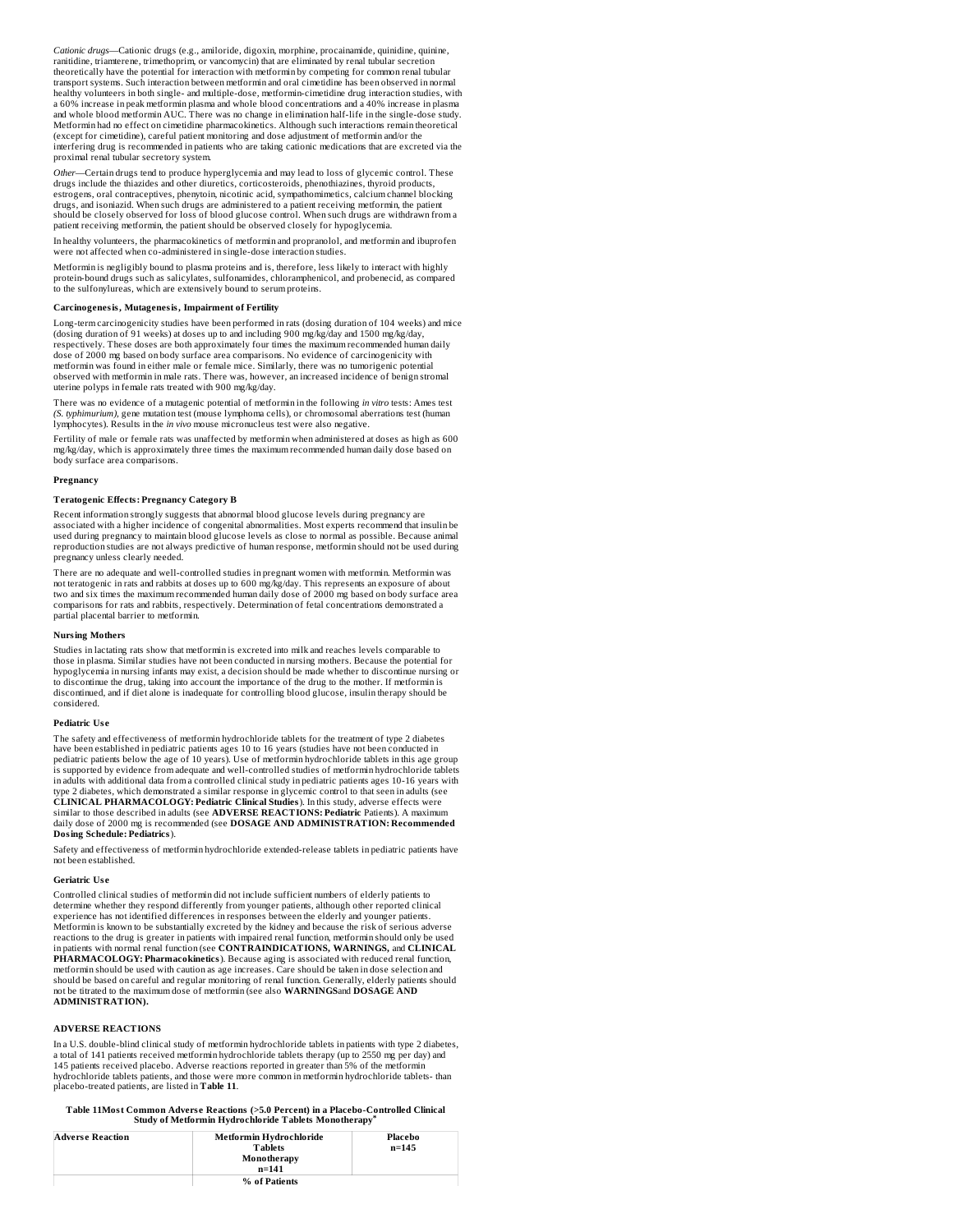*Cationic drugs*—Cationic drugs (e.g., amiloride, digoxin, morphine, procainamide, quinidine, quinine, ranitidine, triamterene, trimethoprim, or vancomycin) that are eliminated by renal tubular secretion theoretically have the potential for interaction with metformin by competing for common renal tubular transport systems. Such interaction between metformin and oral cimetidine has been observed in normal healthy volunteers in both single- and multiple-dose, metformin-cimetidine drug interaction studies, with a 60% increase in peak metformin plasma and whole blood concentrations and a 40% increase in plasma and whole blood metformin AUC. There was no change in elimination half-life in the single-dose study. Metformin had no effect on cimetidine pharmacokinetics. Although such interactions remain theoretical (except for cimetidine), careful patient monitoring and dose adjustment of metformin and/or the interfering drug is recommended in patients who are taking cationic medications that are excreted via the proximal renal tubular secretory system.

*Other*—Certain drugs tend to produce hyperglycemia and may lead to loss of glycemic control. These drugs include the thiazides and other diuretics, corticosteroids, phenothiazines, thyroid products, estrogens, oral contraceptives, phenytoin, nicotinic acid, sympathomimetics, calcium channel blocking drugs, and isoniazid. When such drugs are administered to a patient receiving metformin, the patient should be closely observed for loss of blood glucose control. When such drugs are withdrawn from a patient receiving metformin, the patient should be observed closely for hypoglycemia.

In healthy volunteers, the pharmacokinetics of metformin and propranolol, and metformin and ibuprofen were not affected when co-administered in single-dose interaction studies.

Metformin is negligibly bound to plasma proteins and is, therefore, less likely to interact with highly protein-bound drugs such as salicylates, sulfonamides, chloramphenicol, and probenecid, as compared to the sulfonylureas, which are extensively bound to serum proteins.

## **Carcinogenesis, Mutagenesis, Impairment of Fertility**

Long-term carcinogenicity studies have been performed in rats (dosing duration of 104 weeks) and mice (dosing duration of 91 weeks) at doses up to and including 900 mg/kg/day and 1500 mg/kg/day, respectively. These doses are both approximately four times the maximum recommended human daily dose of 2000 mg based on body surface area comparisons. No evidence of carcinogenicity with metformin was found in either male or female mice. Similarly, there was no tumorigenic potential observed with metformin in male rats. There was, however, an increased incidence of benign stromal uterine polyps in female rats treated with 900 mg/kg/day.

There was no evidence of a mutagenic potential of metformin in the following *in vitro* tests: Ames test *(S. typhimurium),* gene mutation test (mouse lymphoma cells), or chromosomal aberrations test (human lymphocytes). Results in the *in vivo* mouse micronucleus test were also negative.

Fertility of male or female rats was unaffected by metformin when administered at doses as high as 600 mg/kg/day, which is approximately three times the maximum recommended human daily dose based on body surface area comparisons.

#### **Pregnancy**

### **Teratogenic Effects: Pregnancy Category B**

Recent information strongly suggests that abnormal blood glucose levels during pregnancy are associated with a higher incidence of congenital abnormalities. Most experts recommend that insulin be used during pregnancy to maintain blood glucose levels as close to normal as possible. Because animal reproduction studies are not always predictive of human response, metformin should not be used during pregnancy unless clearly needed.

There are no adequate and well-controlled studies in pregnant women with metformin. Metformin was not teratogenic in rats and rabbits at doses up to 600 mg/kg/day. This represents an exposure of about two and six times the maximum recommended human daily dose of 2000 mg based on body surface area comparisons for rats and rabbits, respectively. Determination of fetal concentrations demonstrated a partial placental barrier to metformin.

## **Nursing Mothers**

Studies in lactating rats show that metformin is excreted into milk and reaches levels comparable to those in plasma. Similar studies have not been conducted in nursing mothers. Because the potential for hypoglycemia in nursing infants may exist, a decision should be made whether to discontinue nursing or to discontinue the drug, taking into account the importance of the drug to the mother. If metformin is discontinued, and if diet alone is inadequate for controlling blood glucose, insulin therapy should be considered.

### **Pediatric Us e**

The safety and effectiveness of metformin hydrochloride tablets for the treatment of type 2 diabetes have been established in pediatric patients ages 10 to 16 years (studies have not been conducted in pediatric patients below the age of 10 years). Use of metformin hydrochloride tablets in this age group is supported by evidence from adequate and well-controlled studies of metformin hydrochloride tablets in adults with additional data from a controlled clinical study in pediatric patients ages 10-16 years with type 2 diabetes, which demonstrated a similar response in glycemic control to that seen in adults (see<br>**CLINICAL PHARMACOLOGY: Pediatric Clinical Studies**). In this study, adverse effects were similar to those described in adults (see **ADVERSE REACTIONS: Pediatric** Patients). A maximum daily dose of 2000 mg is recommended (see **DOSAGE AND ADMINISTRATION: Recommended Dosing Schedule: Pediatrics**).

Safety and effectiveness of metformin hydrochloride extended-release tablets in pediatric patients have not been established.

#### **Geriatric Us e**

Controlled clinical studies of metformin did not include sufficient numbers of elderly patients to determine whether they respond differently from younger patients, although other reported clinical experience has not identified differences in responses between the elderly and younger patients. Metformin is known to be substantially excreted by the kidney and because the risk of serious adverse reactions to the drug is greater in patients with impaired renal function, metformin should only be used in patients with normal renal function (see **CONTRAINDICATIONS, WARNINGS,** and **CLINICAL PHARMACOLOGY: Pharmacokinetics**). Because aging is associated with reduced renal function,<br>metformin should be used with caution as age increases. Care should be taken in dose selection and should be based on careful and regular monitoring of renal function. Generally, elderly patients should not be titrated to the maximum dose of metformin (see also **WARNINGS**and **DOSAGE AND ADMINISTRATION).**

#### **ADVERSE REACTIONS**

In a U.S. double-blind clinical study of metformin hydrochloride tablets in patients with type 2 diabetes, a total of 141 patients received metformin hydrochloride tablets therapy (up to 2550 mg per day) and 145 patients received placebo. Adverse reactions reported in greater than 5% of the metformin hydrochloride tablets patients, and those were more common in metformin hydrochloride tablets- than placebo-treated patients, are listed in **Table 11**.

#### **Table 11Most Common Advers e Reactions (>5.0 Percent) in a Placebo-Controlled Clinical Study of Metformin Hydrochloride Tablets Monotherapy \***

| <b>Adverse Reaction</b> | Metformin Hydrochloride | Placebo   |
|-------------------------|-------------------------|-----------|
|                         | <b>Tablets</b>          | $n = 145$ |
|                         | Monotherapy             |           |
|                         | $n = 141$               |           |
|                         | % of Patients           |           |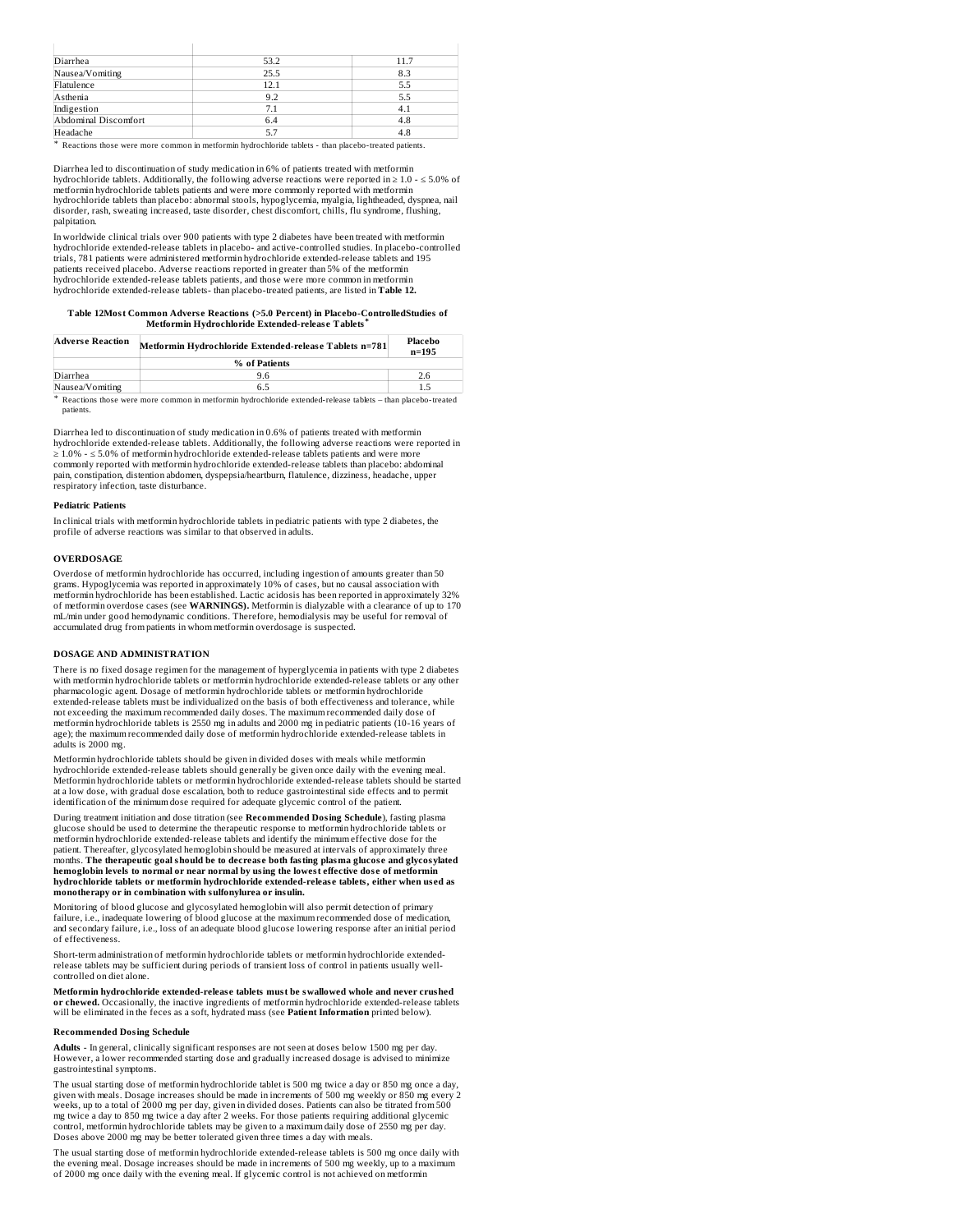| Diarrhea             | 53.2 | 11.7 |
|----------------------|------|------|
| Nausea/Vomiting      | 25.5 | 8.3  |
| Flatulence           | 12.1 | 5.5  |
| Asthenia             | 9.2  | 5.5  |
| Indigestion          | 7.1  | 4.1  |
| Abdominal Discomfort | 6.4  | 4.8  |
| Headache             | 5.7  | 4.8  |

\* Headache 5.7 4.8 Reactions those were more common in metformin hydrochloride tablets - than placebo-treated patients.

Diarrhea led to discontinuation of study medication in 6% of patients treated with metformin hydrochloride tablets. Additionally, the following adverse reactions were reported in  $\geq 1.0$  -  $\leq 5.0\%$  of mydrochloride tablets. Traditionary, the form wing daverse redeators were reported in E 1.0<br>metformin hydrochloride tablets patients and were more commonly reported with metformin hydrochloride tablets than placebo: abnormal stools, hypoglycemia, myalgia, lightheaded, dyspnea, nail disorder, rash, sweating increased, taste disorder, chest discomfort, chills, flu syndrome, flushing, palpitation.

In worldwide clinical trials over 900 patients with type 2 diabetes have been treated with metformin hydrochloride extended-release tablets in placebo- and active-controlled studies. In placebo-controlled trials, 781 patients were administered metformin hydrochloride extended-release tablets and 195 patients received placebo. Adverse reactions reported in greater than 5% of the metformin hydrochloride extended-release tablets patients, and those were more common in metformin hydrochloride extended-release tablets- than placebo-treated patients, are listed in **Table 12.**

#### **Table 12Most Common Advers e Reactions (>5.0 Percent) in Placebo-ControlledStudies of Metformin Hydrochloride Extended-releas e Tablets \***

| <b>Adverse Reaction</b> | Metformin Hydrochloride Extended-release Tablets n=781 |  |
|-------------------------|--------------------------------------------------------|--|
|                         | % of Patients                                          |  |
| Diarrhea                | 9.6                                                    |  |
| Nausea/Vomiting         | 6.5                                                    |  |

\* Reactions those were more common in metformin hydrochloride extended-release tablets – than placebo-treated patients.

Diarrhea led to discontinuation of study medication in 0.6% of patients treated with metformin hydrochloride extended-release tablets. Additionally, the following adverse reactions were reported in ≥ 1.0% - ≤ 5.0% of metformin hydrochloride extended-release tablets patients and were more commonly reported with metformin hydrochloride extended-release tablets than placebo: abdominal pain, constipation, distention abdomen, dyspepsia/heartburn, flatulence, dizziness, headache, upper respiratory infection, taste disturbance.

# **Pediatric Patients**

In clinical trials with metformin hydrochloride tablets in pediatric patients with type 2 diabetes, the profile of adverse reactions was similar to that observed in adults.

#### **OVERDOSAGE**

Overdose of metformin hydrochloride has occurred, including ingestion of amounts greater than 50 grams. Hypoglycemia was reported in approximately 10% of cases, but no causal association with<br>metformin hydrochloride has been established. Lactic acidosis has been reported in approximately 32% of metformin overdose cases (see **WARNINGS).** Metformin is dialyzable with a clearance of up to 170 mL/min under good hemodynamic conditions. Therefore, hemodialysis may be useful for removal of accumulated drug from patients in whom metformin overdosage is suspected.

## **DOSAGE AND ADMINISTRATION**

There is no fixed dosage regimen for the management of hyperglycemia in patients with type 2 diabetes with metformin hydrochloride tablets or metformin hydrochloride extended-release tablets or any other pharmacologic agent. Dosage of metformin hydrochloride tablets or metformin hydrochloride extended-release tablets must be individualized on the basis of both effectiveness and tolerance, while not exceeding the maximum recommended daily doses. The maximum recommended daily dose of metformin hydrochloride tablets is 2550 mg in adults and 2000 mg in pediatric patients (10-16 years of age); the maximum recommended daily dose of metformin hydrochloride extended-release tablets in adults is 2000 mg.

Metformin hydrochloride tablets should be given in divided doses with meals while metformin hydrochloride extended-release tablets should generally be given once daily with the evening meal.<br>Metformin hydrochloride tablets or metformin hydrochloride extended-release tablets should be started at a low dose, with gradual dose escalation, both to reduce gastrointestinal side effects and to permit identification of the minimum dose required for adequate glycemic control of the patient.

During treatment initiation and dose titration (see **Recommended Dosing Schedule**), fasting plasma glucose should be used to determine the therapeutic response to metformin hydrochloride tablets or<br>metformin hydrochloride extended-release tablets and identify the minimum effective dose for the patient. Thereafter, glycosylated hemoglobin should be measured at intervals of approximately three months. The therapeutic goal should be to decrease both fasting plasma glucose and glycosylated<br>hemoglobin levels to normal or near normal by using the lowest effective dose of metformin **hydrochloride tablets or metformin hydrochloride extended-releas e tablets, either when us ed as monotherapy or in combination with sulfonylurea or insulin.**

Monitoring of blood glucose and glycosylated hemoglobin will also permit detection of primary failure, i.e., inadequate lowering of blood glucose at the maximum recommended dose of medication, and secondary failure, i.e., loss of an adequate blood glucose lowering response after an initial period of effectiveness.

Short-term administration of metformin hydrochloride tablets or metformin hydrochloride extendedrelease tablets may be sufficient during periods of transient loss of control in patients usually wellcontrolled on diet alone.

**Metformin hydrochloride extended-releas e tablets must be swallowed whole and never crushed or chewed.** Occasionally, the inactive ingredients of metformin hydrochloride extended-release tablets will be eliminated in the feces as a soft, hydrated mass (see **Patient Information** printed below).

## **Recommended Dosing Schedule**

**Adults** - In general, clinically significant responses are not seen at doses below 1500 mg per day. However, a lower recommended starting dose and gradually increased dosage is advised to minimize gastrointestinal symptoms.

The usual starting dose of metformin hydrochloride tablet is 500 mg twice a day or 850 mg once a day, given with meals. Dosage increases should be made in increments of 500 mg weekly or 850 mg every 2<br>weeks, up to a total of 2000 mg per day, given in divided doses. Patients can also be titrated from 500 mg twice a day to 850 mg twice a day after 2 weeks. For those patients requiring additional glycemic control, metformin hydrochloride tablets may be given to a maximum daily dose of 2550 mg per day.<br>Doses above 2000 mg may be better tolerated given three times a day with meals.

The usual starting dose of metformin hydrochloride extended-release tablets is 500 mg once daily with the evening meal. Dosage increases should be made in increments of 500 mg weekly, up to a maximum of 2000 mg once daily with the evening meal. If glycemic control is not achieved on metformin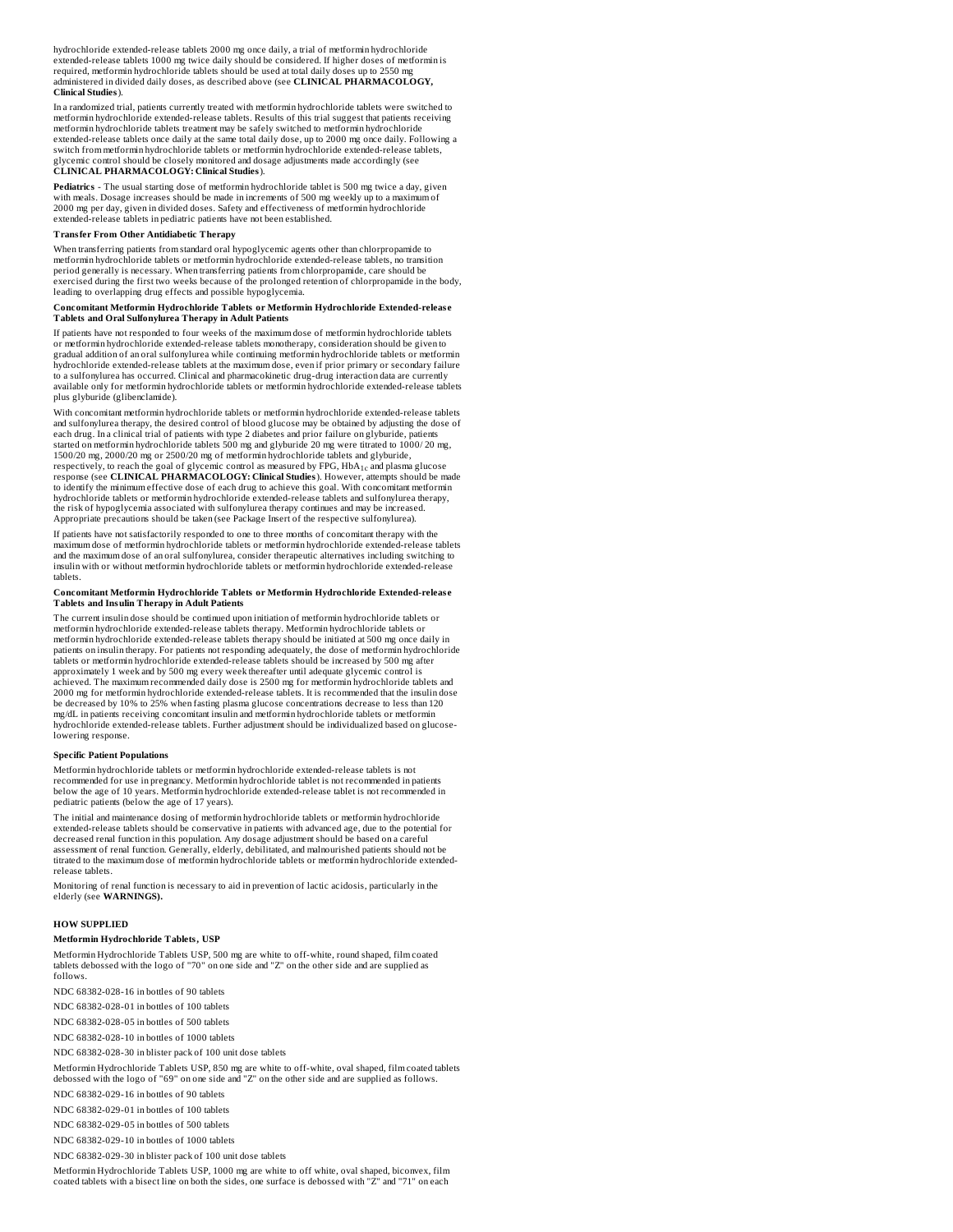hydrochloride extended-release tablets 2000 mg once daily, a trial of metformin hydrochloride extended-release tablets 1000 mg twice daily should be considered. If higher doses of metformin is required, metformin hydrochloride tablets should be used at total daily doses up to 2550 mg administered in divided daily doses, as described above (see **CLINICAL PHARMACOLOGY, Clinical Studies**).

In a randomized trial, patients currently treated with metformin hydrochloride tablets were switched to metformin hydrochloride extended-release tablets. Results of this trial suggest that patients receiving metformin hydrochloride tablets treatment may be safely switched to metformin hydrochloride extended-release tablets once daily at the same total daily dose, up to 2000 mg once daily. Following a switch from metformin hydrochloride tablets or metformin hydrochloride extended-release tablets, glycemic control should be closely monitored and dosage adjustments made accordingly (see **CLINICAL PHARMACOLOGY: Clinical Studies**).

**Pediatrics** - The usual starting dose of metformin hydrochloride tablet is 500 mg twice a day, given with meals. Dosage increases should be made in increments of 500 mg weekly up to a maximum of 2000 mg per day, given in divided doses. Safety and effectiveness of metformin hydrochloride extended-release tablets in pediatric patients have not been established.

# **Transfer From Other Antidiabetic Therapy**

When transferring patients from standard oral hypoglycemic agents other than chlorpropamide to metformin hydrochloride tablets or metformin hydrochloride extended-release tablets, no transition period generally is necessary. When transferring patients from chlorpropamide, care should be exercised during the first two weeks because of the prolonged retention of chlorpropamide in the body, leading to overlapping drug effects and possible hypoglycemia.

#### **Concomitant Metformin Hydrochloride Tablets or Metformin Hydrochloride Extended-releas e Tablets and Oral Sulfonylurea Therapy in Adult Patients**

If patients have not responded to four weeks of the maximum dose of metformin hydrochloride tablets or metformin hydrochloride extended-release tablets monotherapy, consideration should be given to gradual addition of an oral sulfonylurea while continuing metformin hydrochloride tablets or metformin hydrochloride extended-release tablets at the maximum dose, even if prior primary or secondary failure to a sulfonylurea has occurred. Clinical and pharmacokinetic drug-drug interaction data are currently available only for metformin hydrochloride tablets or metformin hydrochloride extended-release tablets plus glyburide (glibenclamide).

With concomitant metformin hydrochloride tablets or metformin hydrochloride extended-release tablets and sulfonylurea therapy, the desired control of blood glucose may be obtained by adjusting the dose of each drug. In a clinical trial of patients with type 2 diabetes and prior failure on glyburide, patients started on metformin hydrochloride tablets 500 mg and glyburide 20 mg were titrated to 1000/ 20 mg, 1500/20 mg, 2000/20 mg or 2500/20 mg of metformin hydrochloride tablets and glyburide, respectively, to reach the goal of glycemic control as measured by FPG, HbA<sub>1c</sub> and plasma glucose<br>response (see **CLINICAL PHARMACOLOGY: Clinical Studies**). However, attempts should be made to identify the minimum effective dose of each drug to achieve this goal. With concomitant metformin hydrochloride tablets or metformin hydrochloride extended-release tablets and sulfonylurea therapy, the risk of hypoglycemia associated with sulfonylurea therapy continues and may be increased. Appropriate precautions should be taken (see Package Insert of the respective sulfonylurea).

If patients have not satisfactorily responded to one to three months of concomitant therapy with the maximum dose of metformin hydrochloride tablets or metformin hydrochloride extended-release tablets and the maximum dose of an oral sulfonylurea, consider therapeutic alternatives including switching to insulin with or without metformin hydrochloride tablets or metformin hydrochloride extended-release tablets.

#### **Concomitant Metformin Hydrochloride Tablets or Metformin Hydrochloride Extended-releas e Tablets and Insulin Therapy in Adult Patients**

The current insulin dose should be continued upon initiation of metformin hydrochloride tablets or metformin hydrochloride extended-release tablets therapy. Metformin hydrochloride tablets or metformin hydrochloride extended-release tablets therapy should be initiated at 500 mg once daily in patients on insulin therapy. For patients not responding adequately, the dose of metformin hydrochloride tablets or metformin hydrochloride extended-release tablets should be increased by 500 mg after approximately 1 week and by 500 mg every week thereafter until adequate glycemic control is achieved. The maximum recommended daily dose is 2500 mg for metformin hydrochloride tablets and 2000 mg for metformin hydrochloride extended-release tablets. It is recommended that the insulin dose be decreased by 10% to 25% when fasting plasma glucose concentrations decrease to less than 120 mg/dL in patients receiving concomitant insulin and metformin hydrochloride tablets or metformin hydrochloride extended-release tablets. Further adjustment should be individualized based on glucoselowering response.

#### **Specific Patient Populations**

Metformin hydrochloride tablets or metformin hydrochloride extended-release tablets is not recommended for use in pregnancy. Metformin hydrochloride tablet is not recommended in patients below the age of 10 years. Metformin hydrochloride extended-release tablet is not recommended in pediatric patients (below the age of 17 years).

The initial and maintenance dosing of metformin hydrochloride tablets or metformin hydrochloride extended-release tablets should be conservative in patients with advanced age, due to the potential for decreased renal function in this population. Any dosage adjustment should be based on a careful assessment of renal function. Generally, elderly, debilitated, and malnourished patients should not be titrated to the maximum dose of metformin hydrochloride tablets or metformin hydrochloride extendedrelease tablets.

Monitoring of renal function is necessary to aid in prevention of lactic acidosis, particularly in the elderly (see **WARNINGS).**

## **HOW SUPPLIED**

# **Metformin Hydrochloride Tablets, USP**

Metformin Hydrochloride Tablets USP, 500 mg are white to off-white, round shaped, film coated tablets debossed with the logo of "70" on one side and "Z" on the other side and are supplied as follows.

NDC 68382-028-16 in bottles of 90 tablets

NDC 68382-028-01 in bottles of 100 tablets

NDC 68382-028-05 in bottles of 500 tablets

NDC 68382-028-10 in bottles of 1000 tablets

NDC 68382-028-30 in blister pack of 100 unit dose tablets

Metformin Hydrochloride Tablets USP, 850 mg are white to off-white, oval shaped, film coated tablets debossed with the logo of "69" on one side and "Z" on the other side and are supplied as follows.

NDC 68382-029-16 in bottles of 90 tablets

NDC 68382-029-01 in bottles of 100 tablets NDC 68382-029-05 in bottles of 500 tablets

NDC 68382-029-10 in bottles of 1000 tablets

NDC 68382-029-30 in blister pack of 100 unit dose tablets

Metformin Hydrochloride Tablets USP, 1000 mg are white to off white, oval shaped, biconvex, film coated tablets with a bisect line on both the sides, one surface is debossed with "Z" and "71" on each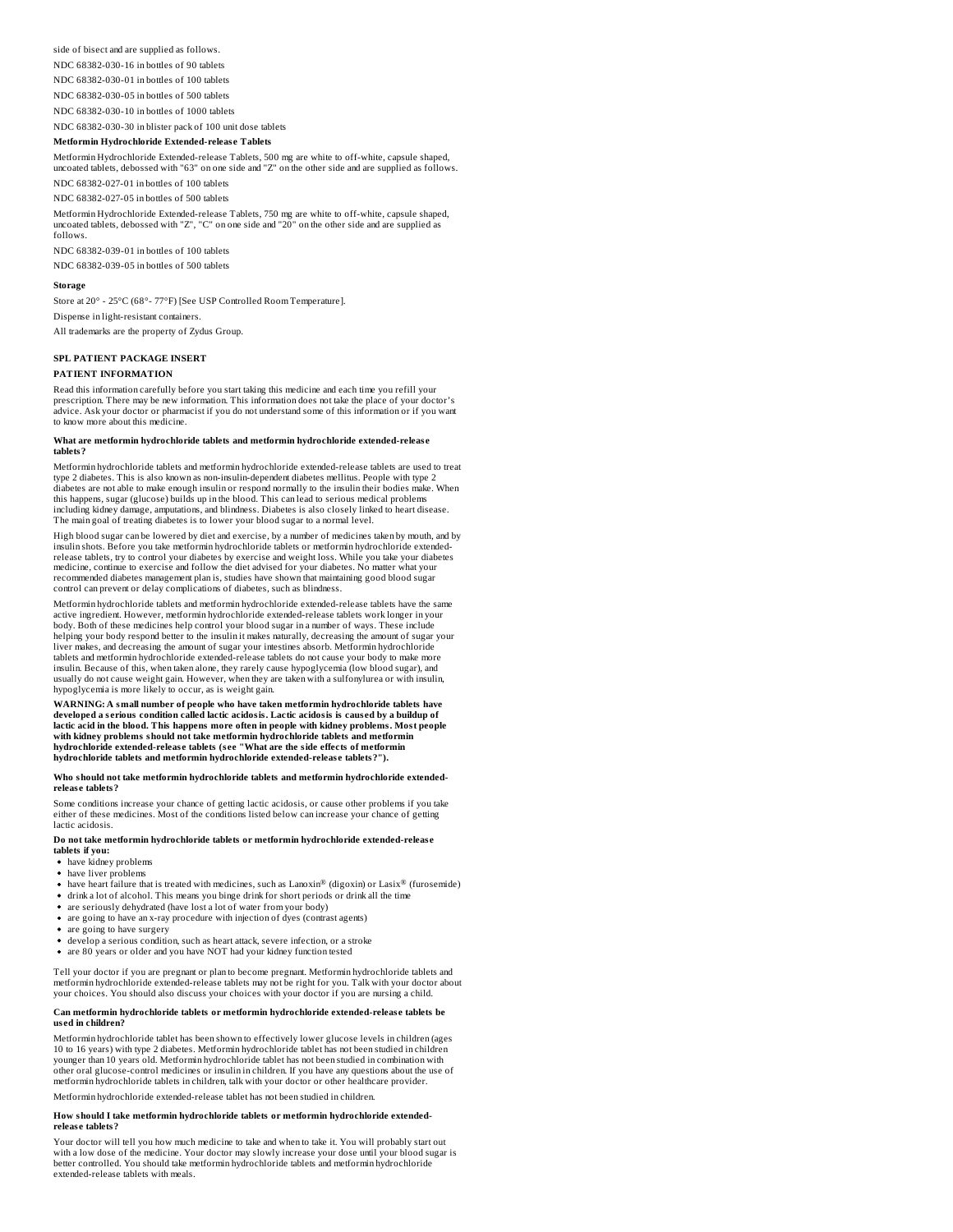side of bisect and are supplied as follows.

NDC 68382-030-16 in bottles of 90 tablets

NDC 68382-030-01 in bottles of 100 tablets

NDC 68382-030-05 in bottles of 500 tablets

NDC 68382-030-10 in bottles of 1000 tablets

NDC 68382-030-30 in blister pack of 100 unit dose tablets

# **Metformin Hydrochloride Extended-releas e Tablets**

Metformin Hydrochloride Extended-release Tablets, 500 mg are white to off-white, capsule shaped, uncoated tablets, debossed with "63" on one side and "Z" on the other side and are supplied as follows.

NDC 68382-027-01 in bottles of 100 tablets

NDC 68382-027-05 in bottles of 500 tablets

Metformin Hydrochloride Extended-release Tablets, 750 mg are white to off-white, capsule shaped, uncoated tablets, debossed with "Z", "C" on one side and "20" on the other side and are supplied as follows.

NDC 68382-039-01 in bottles of 100 tablets NDC 68382-039-05 in bottles of 500 tablets

#### **Storage**

Store at 20° - 25°C (68°- 77°F) [See USP Controlled Room Temperature].

Dispense in light-resistant containers.

All trademarks are the property of Zydus Group.

# **SPL PATIENT PACKAGE INSERT**

# **PATIENT INFORMATION**

Read this information carefully before you start taking this medicine and each time you refill your prescription. There may be new information. This information does not take the place of your doctor's advice. Ask your doctor or pharmacist if you do not understand some of this information or if you want to know more about this medicine.

#### **What are metformin hydrochloride tablets and metformin hydrochloride extended-releas e tablets?**

Metformin hydrochloride tablets and metformin hydrochloride extended-release tablets are used to treat type 2 diabetes. This is also known as non-insulin-dependent diabetes mellitus. People with type 2 diabetes are not able to make enough insulin or respond normally to the insulin their bodies make. When this happens, sugar (glucose) builds up in the blood. This can lead to serious medical problems including kidney damage, amputations, and blindness. Diabetes is also closely linked to heart disease. The main goal of treating diabetes is to lower your blood sugar to a normal level.

High blood sugar can be lowered by diet and exercise, by a number of medicines taken by mouth, and by insulin shots. Before you take metformin hydrochloride tablets or metformin hydrochloride extendedrelease tablets, try to control your diabetes by exercise and weight loss. While you take your diabetes<br>medicine, continue to exercise and follow the diet advised for your diabetes. No matter what your recommended diabetes management plan is, studies have shown that maintaining good blood sugar control can prevent or delay complications of diabetes, such as blindness.

Metformin hydrochloride tablets and metformin hydrochloride extended-release tablets have the same active ingredient. However, metformin hydrochloride extended-release tablets work longer in your body. Both of these medicines help control your blood sugar in a number of ways. These include helping your body respond better to the insulin it makes naturally, decreasing the amount of sugar your liver makes, and decreasing the amount of sugar your intestines absorb. Metformin hydrochloride tablets and metformin hydrochloride extended-release tablets do not cause your body to make more insulin. Because of this, when taken alone, they rarely cause hypoglycemia (low blood sugar), and usually do not cause weight gain. However, when they are taken with a sulfonylurea or with insulin, hypoglycemia is more likely to occur, as is weight gain.

WARNING: A small number of people who have taken metformin hydrochloride tablets have<br>developed a serious condition called lactic acidosis. Lactic acidosis is caused by a buildup of lactic acid in the blood. This happens more often in people with kidney problems. Most people<br>with kidney problems should not take metformin hydrochloride tablets and metformin<br>hydrochloride extended-release tablets (see "

## **Who should not take metformin hydrochloride tablets and metformin hydrochloride extendedreleas e tablets?**

Some conditions increase your chance of getting lactic acidosis, or cause other problems if you take either of these medicines. Most of the conditions listed below can increase your chance of getting lactic acidosis.

#### **Do not take metformin hydrochloride tablets or metformin hydrochloride extended-releas e tablets if you:**

- have kidney problems • have liver problems
- have heart failure that is treated with medicines, such as Lanoxin® (digoxin) or Lasix® (furosemide)
- drink a lot of alcohol. This means you binge drink for short periods or drink all the time
- are seriously dehydrated (have lost a lot of water from your body) are going to have an x-ray procedure with injection of dyes (contrast agents)
- are going to have surgery
- 
- develop a serious condition, such as heart attack, severe infection, or a stroke are 80 years or older and you have NOT had your kidney function tested

Tell your doctor if you are pregnant or plan to become pregnant. Metformin hydrochloride tablets and<br>metformin hydrochloride extended-release tablets may not be right for you. Talk with your doctor about your choices. You should also discuss your choices with your doctor if you are nursing a child.

## **Can metformin hydrochloride tablets or metformin hydrochloride extended-releas e tablets be us ed in children?**

Metformin hydrochloride tablet has been shown to effectively lower glucose levels in children (ages 10 to 16 years) with type 2 diabetes. Metformin hydrochloride tablet has not been studied in children younger than 10 years old. Metformin hydrochloride tablet has not been studied in combination with other oral glucose-control medicines or insulin in children. If you have any questions about the use of metformin hydrochloride tablets in children, talk with your doctor or other healthcare provider. Metformin hydrochloride extended-release tablet has not been studied in children.

## **How should I take metformin hydrochloride tablets or metformin hydrochloride extendedreleas e tablets?**

Your doctor will tell you how much medicine to take and when to take it. You will probably start out with a low dose of the medicine. Your doctor may slowly increase your dose until your blood sugar is better controlled. You should take metformin hydrochloride tablets and metformin hydrochloride extended-release tablets with meals.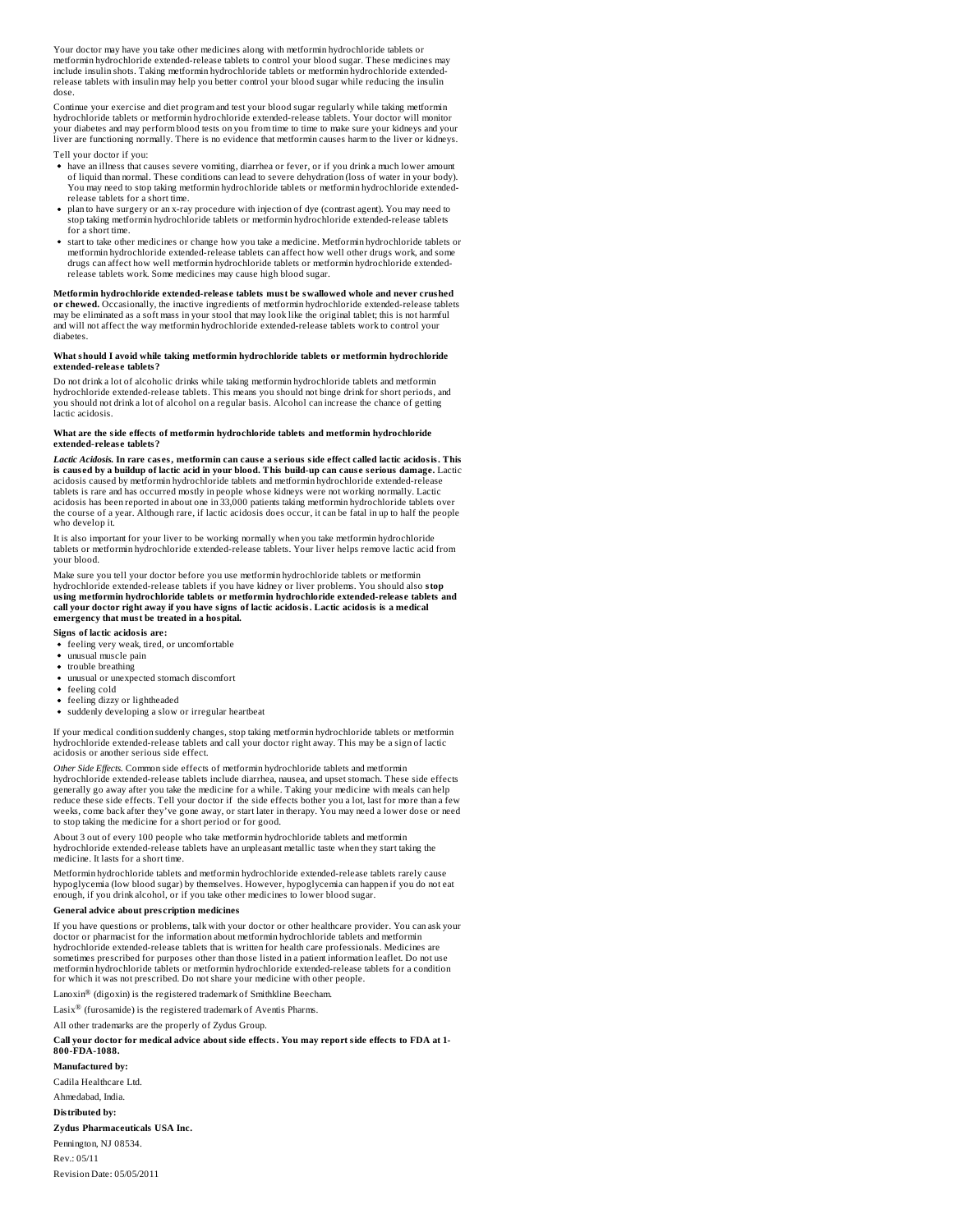Your doctor may have you take other medicines along with metformin hydrochloride tablets or metformin hydrochloride extended-release tablets to control your blood sugar. These medicines may include insulin shots. Taking metformin hydrochloride tablets or metformin hydrochloride extendedrelease tablets with insulin may help you better control your blood sugar while reducing the insulin dose.

Continue your exercise and diet program and test your blood sugar regularly while taking metformin hydrochloride tablets or metformin hydrochloride extended-release tablets. Your doctor will monitor your diabetes and may perform blood tests on you from time to time to make sure your kidneys and your liver are functioning normally. There is no evidence that metformin causes harm to the liver or kidneys.

Tell your doctor if you:

- have an illness that causes severe vomiting, diarrhea or fever, or if you drink a much lower amount of liquid than normal. These conditions can lead to severe dehydration (loss of water in your body). You may need to stop taking metformin hydrochloride tablets or metformin hydrochloride extendedrelease tablets for a short time.
- plan to have surgery or an x-ray procedure with injection of dye (contrast agent). You may need to stop taking metformin hydrochloride tablets or metformin hydrochloride extended-release tablets for a short time.
- start to take other medicines or change how you take a medicine. Metformin hydrochloride tablets or metformin hydrochloride extended-release tablets can affect how well other drugs work, and some drugs can affect how well metformin hydrochloride tablets or metformin hydrochloride extendedrelease tablets work. Some medicines may cause high blood sugar.

#### **Metformin hydrochloride extended-releas e tablets must be swallowed whole and never crushed or chewed.** Occasionally, the inactive ingredients of metformin hydrochloride extended-release tablets may be eliminated as a soft mass in your stool that may look like the original tablet; this is not harmful and will not affect the way metformin hydrochloride extended-release tablets work to control your diabetes.

#### **What should I avoid while taking metformin hydrochloride tablets or metformin hydrochloride extended-releas e tablets?**

Do not drink a lot of alcoholic drinks while taking metformin hydrochloride tablets and metformin hydrochloride extended-release tablets. This means you should not binge drink for short periods, and you should not drink a lot of alcohol on a regular basis. Alcohol can increase the chance of getting lactic acidosis.

#### **What are the side effects of metformin hydrochloride tablets and metformin hydrochloride extended-releas e tablets?**

Lactic Acidosis. In rare cases, metformin can cause a serious side effect called lactic acidosis. This **is caused by a buildup of lactic acid in your blood. This build-up can cause serious damage.** Lactic<br>acidosis caused by metformin hydrochloride tablets and metformin hydrochloride extended-release tablets is rare and has occurred mostly in people whose kidneys were not working normally. Lactic acidosis has been reported in about one in 33,000 patients taking metformin hydrochloride tablets over the course of a year. Although rare, if lactic acidosis does occur, it can be fatal in up to half the people who develop it.

It is also important for your liver to be working normally when you take metformin hydrochloride tablets or metformin hydrochloride extended-release tablets. Your liver helps remove lactic acid from your blood.

Make sure you tell your doctor before you use metformin hydrochloride tablets or metformin hydrochloride extended-release tablets if you have kidney or liver problems. You should also <mark>stop</mark><br>using metformin hydrochloride tablets or metformin hydrochloride extended-release tablets and **call your doctor right away if you have signs of lactic acidosis. Lactic acidosis is a medical emergency that must be treated in a hospital.**

#### **Signs of lactic acidosis are:**

- $\bullet$  feeling very weak, tired, or uncomfortable
- unusual muscle pain
- trouble breathing
- unusual or unexpected stomach discomfort
- feeling cold
- feeling dizzy or lightheaded
- suddenly developing a slow or irregular heartbeat

If your medical condition suddenly changes, stop taking metformin hydrochloride tablets or metformin hydrochloride extended-release tablets and call your doctor right away. This may be a sign of lactic acidosis or another serious side effect.

*Other Side Effects.* Common side effects of metformin hydrochloride tablets and metformin hydrochloride extended-release tablets include diarrhea, nausea, and upset stomach. These side effects<br>generally go away after you take the medicine for a while. Taking your medicine with meals can help<br>reduce these side e weeks, come back after they've gone away, or start later in therapy. You may need a lower dose or need to stop taking the medicine for a short period or for good.

About 3 out of every 100 people who take metformin hydrochloride tablets and metformin hydrochloride extended-release tablets have an unpleasant metallic taste when they start taking the medicine. It lasts for a short time.

Metformin hydrochloride tablets and metformin hydrochloride extended-release tablets rarely cause hypoglycemia (low blood sugar) by themselves. However, hypoglycemia can happen if you do not eat enough, if you drink alcohol, or if you take other medicines to lower blood sugar.

#### **General advice about pres cription medicines**

If you have questions or problems, talk with your doctor or other healthcare provider. You can ask your doctor or pharmacist for the information about metformin hydrochloride tablets and metformin hydrochloride extended-release tablets that is written for health care professionals. Medicines are sometimes prescribed for purposes other than those listed in a patient information leaflet. Do not use metformin hydrochloride tablets or metformin hydrochloride extended-release tablets for a condition for which it was not prescribed. Do not share your medicine with other people.

Lanoxin® (digoxin) is the registered trademark of Smithkline Beecham.

 $\text{Lasix}^{\circledR}$  (furosamide) is the registered trademark of Aventis Pharms.

All other trademarks are the properly of Zydus Group.

**Call your doctor for medical advice about side effects. You may report side effects to FDA at 1- 800-FDA-1088.**

**Manufactured by:**

Cadila Healthcare Ltd.

Ahmedabad, India.

**Distributed by:**

**Zydus Pharmaceuticals USA Inc.** Pennington, NJ 08534. Rev.: 05/11

Revision Date: 05/05/2011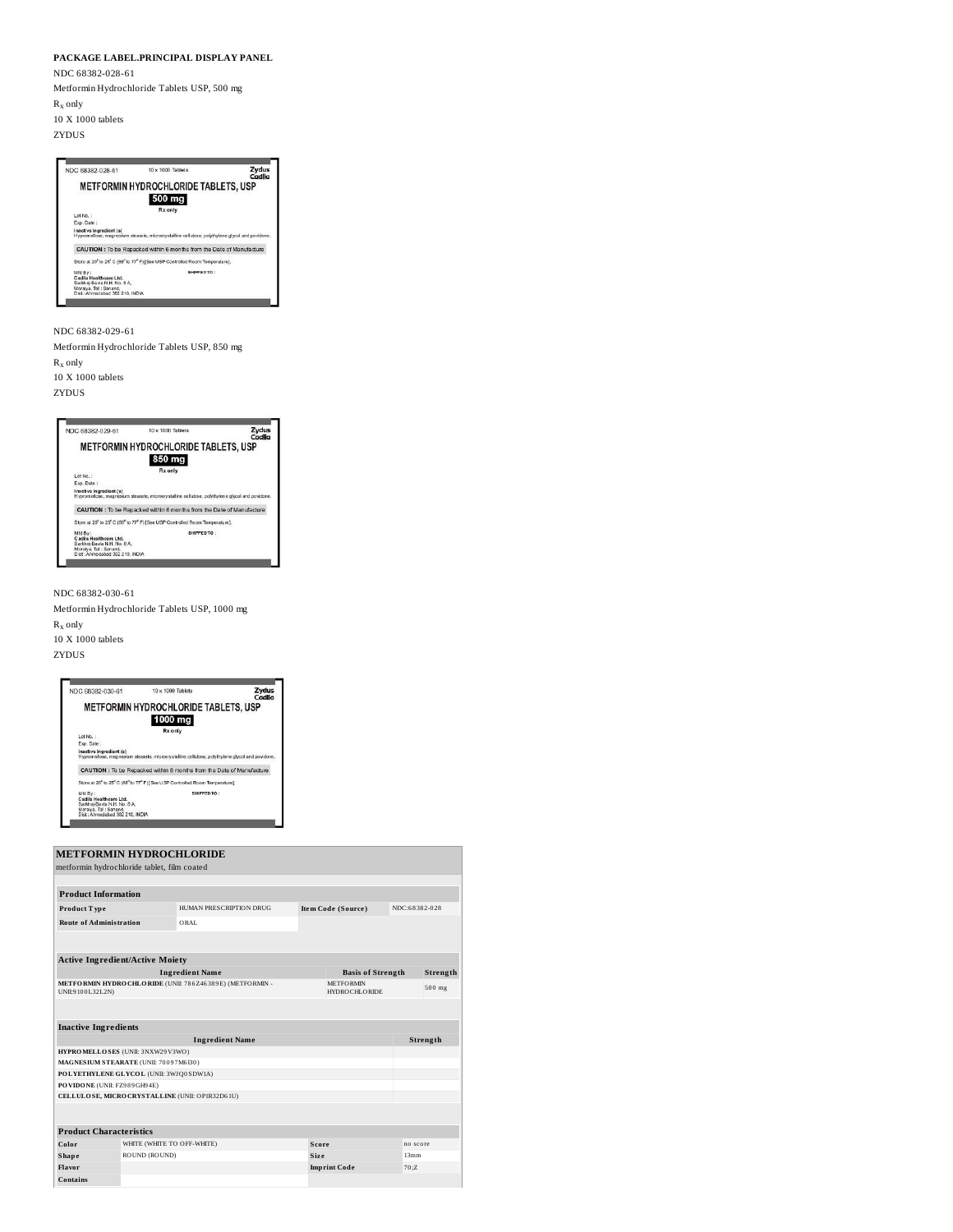# **PACKAGE LABEL.PRINCIPAL DISPLAY PANEL**

NDC 68382-028-61 Metformin Hydrochloride Tablets USP, 500 mg  $\mathrm{R}_{\mathrm{x}}$  only 10 X 1000 tablets ZYDUS

|                                                                                                                              |                                                                                                | Zydus<br>Cad <b>il</b> a |
|------------------------------------------------------------------------------------------------------------------------------|------------------------------------------------------------------------------------------------|--------------------------|
|                                                                                                                              | METFORMIN HYDROCHLORIDE TABLETS, USP<br>$500$ mg                                               |                          |
| Lot No.:                                                                                                                     | Rx only                                                                                        |                          |
| Exp. Date:                                                                                                                   |                                                                                                |                          |
| Inactive Ingredient (s)                                                                                                      | Hypromellose, magnesium stearate, microenystalline cellulose, polythylene glycol and povidone. |                          |
|                                                                                                                              | CAUTION : To be Repacked within 6 months from the Date of Manufacture                          |                          |
|                                                                                                                              | Store at 20 <sup>4</sup> to 25° C (68° to 77° F) [See USP Controlled Room Temperature].        |                          |
| Mfd By:<br>Cadila Healthcare Ltd.<br>Sarkhej-Bavla N.H. No. 8 A.<br>Moralya, Tal : Sanand,<br>Dist: Ahmedabad 382 210, INDIA | SHIPPED TO:                                                                                    |                          |
|                                                                                                                              |                                                                                                |                          |
| $R_x$ only                                                                                                                   | Metformin Hydrochloride Tablets USP, 850 mg                                                    |                          |
| 10 X 1000 tablets<br><b>ZYDUS</b>                                                                                            |                                                                                                |                          |
|                                                                                                                              |                                                                                                |                          |
| NDC 68382-029-61                                                                                                             | 10 x 1000 Tablets                                                                              | Zydus                    |
|                                                                                                                              | METFORMIN HYDROCHLORIDE TABLETS, USP<br>850 mg                                                 | Codila                   |
| Lot No.:                                                                                                                     | Rx only                                                                                        |                          |
| Exp. Date:                                                                                                                   |                                                                                                |                          |
| Inactive Ingredient (s)                                                                                                      | Hypromellose, magnesium stearate, microerystaline cellulose, polythylene glycol and povidone.  |                          |

| NDC 68382-029-61                                     | 10 x 1000 Tablets                                                                           | Zydus<br>Codilo |
|------------------------------------------------------|---------------------------------------------------------------------------------------------|-----------------|
|                                                      | <b>METFORMIN HYDROCHLORIDE TABLETS, USP</b>                                                 |                 |
|                                                      | 850 mg                                                                                      |                 |
|                                                      | Rx only                                                                                     |                 |
| Lot No. :                                            |                                                                                             |                 |
| Exp. Date:                                           |                                                                                             |                 |
| Inactive Ingredient (s)                              | Hyprometose, magnesium stearate, microerystatine cellulose, polythylene givcol and povidone |                 |
|                                                      | CAUTION : To be Repacked within 6 months from the Date of Manufacture                       |                 |
|                                                      | Store at 20° to 25° C (68° to 77° F) [See USP Controlled Room Temperature].                 |                 |
| Mfd By:                                              | SHIPPED TO:                                                                                 |                 |
| Cadila Healthcare Ltd.                               |                                                                                             |                 |
| Sarkhej-Bavia N.H. No. 8 A.<br>Moralya, Tal: Sanand, |                                                                                             |                 |
| Dist: Ahmedabad 382 210, INDIA                       |                                                                                             |                 |

NDC 68382-030-61

Metformin Hydrochloride Tablets USP, 1000 mg  $\mathrm{R}_{\mathrm{x}}$  only 10 X 1000 tablets ZYDUS



# **METFORMIN HYDROCHLORIDE** metformin hydrochloride tablet, film coated **Product Information Product T ype** HUMAN PRESCRIPTION DRUG **Ite m Code (Source )** NDC:6 8 38 2-0 28 **Route of Administration** ORAL **Active Ingredient/Active Moiety Ingredient Name Basis of Strength Strength METFORMIN HYDROCHLORIDE** (UNII: <sup>78</sup> 6Z46 <sup>38</sup> 9E) (METFORMIN -UNII:9 <sup>10</sup> 0L32L2N) METFORMIN HYDROCHLORIDE 50 0 mg **Inactive Ingredients Ingredient Name Strength HYPROMELLOSES** (UNII: 3NXW29V3WO) **MAGNESIUM STEARATE** (UNII: 70 0 9 7M6 I30 ) **POLYETHYLENE GLYCOL** (UNII: 3WJQ0 SDW1A) **PO VIDONE** (UNII: FZ989GH94E) **CELLULOSE, MICROCRYSTALLINE** (UNII: OP1R32D6 1U) **Product Characteristics Color** WHITE (WHITE TO OFF-WHITE) **Score** no score **Shape** ROUND (ROUND) **Size** 13mm **Flavor Imprint Code** 70 ;Z **Contains**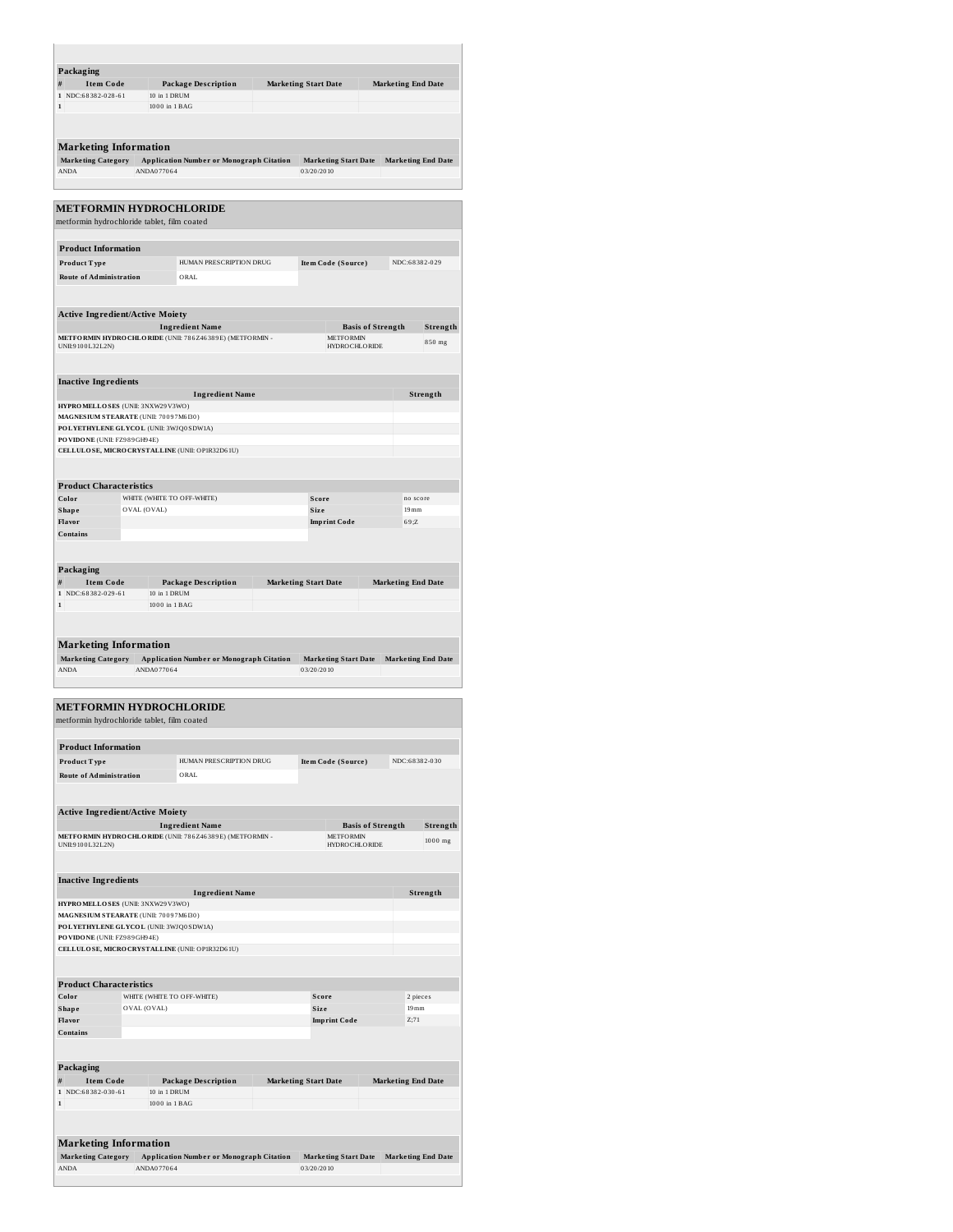| Packaging<br><b>Item Code</b><br>#<br>1 NDC:68382-028-61<br>$\mathbf 1$                                                                                                                                                 | 10 in 1 DRUM<br>1000 in 1 BAG                                                                                                                                                                        | <b>Package Description</b>                               |                    | <b>Marketing Start Date</b>                 |                          | <b>Marketing End Date</b>            |
|-------------------------------------------------------------------------------------------------------------------------------------------------------------------------------------------------------------------------|------------------------------------------------------------------------------------------------------------------------------------------------------------------------------------------------------|----------------------------------------------------------|--------------------|---------------------------------------------|--------------------------|--------------------------------------|
| <b>Marketing Information</b><br><b>Marketing Category</b><br><b>Application Number or Monograph Citation</b><br><b>Marketing Start Date</b><br><b>Marketing End Date</b><br><b>ANDA</b><br>ANDA077064<br>03/20/2010     |                                                                                                                                                                                                      |                                                          |                    |                                             |                          |                                      |
| <b>METFORMIN HYDROCHLORIDE</b><br>metformin hydrochloride tablet, film coated                                                                                                                                           |                                                                                                                                                                                                      |                                                          |                    |                                             |                          |                                      |
| <b>Product Information</b><br>Product Type<br><b>Route of Administration</b>                                                                                                                                            |                                                                                                                                                                                                      | HUMAN PRESCRIPTION DRUG<br>ORAL                          |                    | <b>Item Code (Source)</b>                   |                          | NDC:68382-029                        |
| <b>Active Ingredient/Active Moiety</b><br><b>Ingredient Name</b><br><b>Basis of Strength</b><br>METFORMIN HYDRO CHLORIDE (UNI: 786Z46389E) (METFORMIN -<br><b>METFORMIN</b><br><b>HYDROCHLORIDE</b><br>UNII:9100L32L2N) |                                                                                                                                                                                                      |                                                          | Strength<br>850 mg |                                             |                          |                                      |
| <b>Inactive Ingredients</b>                                                                                                                                                                                             |                                                                                                                                                                                                      | <b>Ingredient Name</b>                                   |                    |                                             |                          | Strength                             |
| HYPRO MELLOSES (UNII: 3NXW29V3WO)<br>MAGNESIUM STEARATE (UNII: 70097M6130)<br>POLYETHYLENE GLYCOL (UNI: 3WJQ0SDW1A)<br>PO VIDO NE (UNII: FZ989GH94E)                                                                    |                                                                                                                                                                                                      | CELLULOSE, MICRO CRYSTALLINE (UNII: OP1R32D61U)          |                    |                                             |                          |                                      |
| <b>Product Characteristics</b><br>Color<br>Shape<br>Flavor<br>Contains                                                                                                                                                  | WHITE (WHITE TO OFF-WHITE)<br>OVAL (OVAL)                                                                                                                                                            |                                                          |                    | <b>Score</b><br>Size<br><b>Imprint Code</b> |                          | no score<br>$19 \text{ mm}$<br>69;Z  |
| Packaging<br><b>Item Code</b><br>#<br>1 NDC:68382-029-61<br>$\mathbf 1$                                                                                                                                                 | 10 in 1 DRUM<br>1000 in 1 BAG                                                                                                                                                                        | <b>Package Description</b>                               |                    | <b>Marketing Start Date</b>                 |                          | <b>Marketing End Date</b>            |
| <b>ANDA</b>                                                                                                                                                                                                             | <b>Marketing Information</b><br><b>Marketing Category</b><br><b>Marketing Start Date</b><br><b>Marketing End Date</b><br><b>Application Number or Monograph Citation</b><br>ANDA077064<br>03/20/2010 |                                                          |                    |                                             |                          |                                      |
| <b>METFORMIN HYDROCHLORIDE</b><br>metformin hydrochloride tablet, film coated                                                                                                                                           |                                                                                                                                                                                                      |                                                          |                    |                                             |                          |                                      |
| <b>Product Information</b>                                                                                                                                                                                              |                                                                                                                                                                                                      |                                                          |                    |                                             |                          |                                      |
| Product Type<br><b>Route of Administration</b>                                                                                                                                                                          |                                                                                                                                                                                                      | HUMAN PRESCRIPTION DRUG<br>ORAL.                         |                    | <b>Item Code (Source)</b>                   |                          | NDC:68382-030                        |
| <b>Active Ingredient/Active Moiety</b>                                                                                                                                                                                  |                                                                                                                                                                                                      | <b>Ingredient Name</b>                                   |                    |                                             | <b>Basis of Strength</b> | Strength                             |
| UNIE9100L32L2N)                                                                                                                                                                                                         |                                                                                                                                                                                                      | METFORMIN HYDRO CHLORIDE (UNII: 786Z46389E) (METFORMIN - |                    | <b>METFORMIN</b>                            | <b>HYDROCHLORIDE</b>     | 1000 mg                              |
| <b>Inactive Ingredients</b>                                                                                                                                                                                             |                                                                                                                                                                                                      | <b>Ingredient Name</b>                                   |                    |                                             |                          | Strength                             |
| HYPRO MELLOSES (UNII: 3NXW29V3WO)<br>MAGNESIUM STEARATE (UNII: 70097M6130)<br>POLYETHYLENE GLYCOL (UNI: 3WJQ0SDW1A)<br>PO VIDO NE (UNII: FZ989GH94E)                                                                    |                                                                                                                                                                                                      | CELLULOSE, MICRO CRYSTALLINE (UNII: OPIR32D61U)          |                    |                                             |                          |                                      |
| <b>Product Characteristics</b><br>Color<br>Shape<br>Flavor<br>Contains                                                                                                                                                  | WHITE (WHITE TO OFF-WHITE)<br>OVAL (OVAL)                                                                                                                                                            |                                                          |                    | Score<br>Size<br><b>Imprint Code</b>        |                          | 2 pieces<br>19 <sub>mm</sub><br>Z;71 |
| Packaging<br><b>Item Code</b><br>#<br>1 NDC:68382-030-61<br>$\mathbf 1$                                                                                                                                                 | 10 in 1 DRUM<br>1000 in 1 BAG                                                                                                                                                                        | <b>Package Description</b>                               |                    | <b>Marketing Start Date</b>                 |                          | <b>Marketing End Date</b>            |
| <b>Marketing Information</b><br><b>Marketing Category</b><br><b>ANDA</b>                                                                                                                                                | ANDA077064                                                                                                                                                                                           | Application Number or Monograph Citation                 |                    | <b>Marketing Start Date</b><br>03/20/2010   |                          | <b>Marketing End Date</b>            |